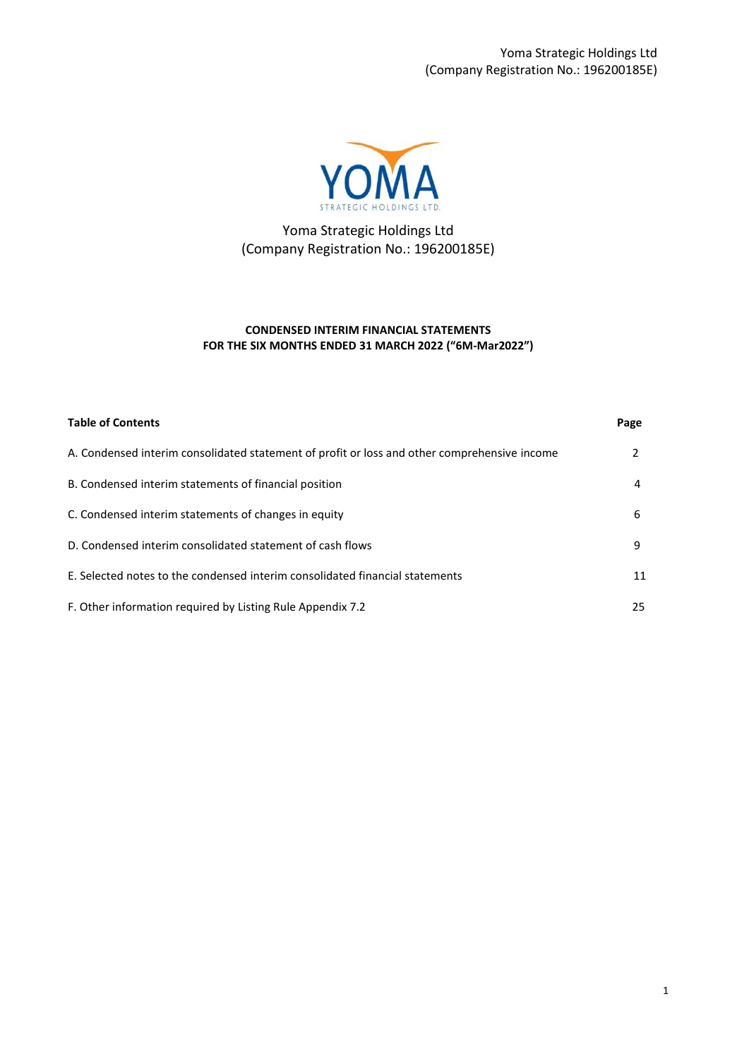Yoma Strategic Holdings Ltd (Company Registration No.: 196200185E)



Yoma Strategic Holdings Ltd (Company Registration No.: 196200185E)

## **CONDENSED INTERIM FINANCIAL STATEMENTS FOR THE SIX MONTHS ENDED 31 MARCH 2022 ("6M-Mar2022")**

| <b>Table of Contents</b>                                                                     | Page |
|----------------------------------------------------------------------------------------------|------|
| A. Condensed interim consolidated statement of profit or loss and other comprehensive income | 2    |
| B. Condensed interim statements of financial position                                        | 4    |
| C. Condensed interim statements of changes in equity                                         | 6    |
| D. Condensed interim consolidated statement of cash flows                                    | 9    |
| E. Selected notes to the condensed interim consolidated financial statements                 | 11   |
| F. Other information required by Listing Rule Appendix 7.2                                   | 25   |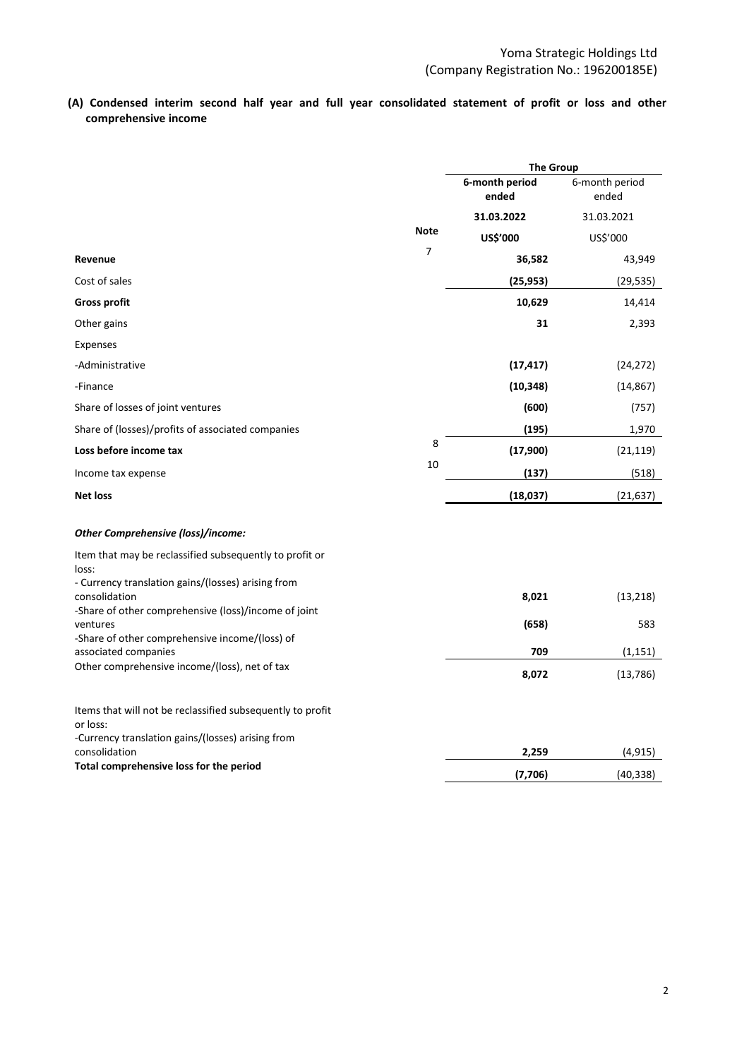**(A) Condensed interim second half year and full year consolidated statement of profit or loss and other comprehensive income** 

|                                                                                                                             |                | <b>The Group</b>        |                         |
|-----------------------------------------------------------------------------------------------------------------------------|----------------|-------------------------|-------------------------|
|                                                                                                                             |                | 6-month period<br>ended | 6-month period<br>ended |
|                                                                                                                             |                | 31.03.2022              | 31.03.2021              |
|                                                                                                                             | <b>Note</b>    | US\$'000                | US\$'000                |
| Revenue                                                                                                                     | $\overline{7}$ | 36,582                  | 43,949                  |
| Cost of sales                                                                                                               |                | (25, 953)               | (29, 535)               |
| <b>Gross profit</b>                                                                                                         |                | 10,629                  | 14,414                  |
| Other gains                                                                                                                 |                | 31                      | 2,393                   |
| Expenses                                                                                                                    |                |                         |                         |
| -Administrative                                                                                                             |                | (17, 417)               | (24, 272)               |
| -Finance                                                                                                                    |                | (10, 348)               | (14, 867)               |
| Share of losses of joint ventures                                                                                           |                | (600)                   | (757)                   |
| Share of (losses)/profits of associated companies                                                                           |                | (195)                   | 1,970                   |
| Loss before income tax                                                                                                      | 8              | (17,900)                | (21, 119)               |
| Income tax expense                                                                                                          | 10             | (137)                   | (518)                   |
| <b>Net loss</b>                                                                                                             |                | (18, 037)               | (21, 637)               |
| Other Comprehensive (loss)/income:                                                                                          |                |                         |                         |
| Item that may be reclassified subsequently to profit or<br>loss:                                                            |                |                         |                         |
| - Currency translation gains/(losses) arising from<br>consolidation                                                         |                | 8,021                   | (13, 218)               |
| -Share of other comprehensive (loss)/income of joint<br>ventures                                                            |                | (658)                   | 583                     |
| -Share of other comprehensive income/(loss) of<br>associated companies                                                      |                | 709                     | (1, 151)                |
| Other comprehensive income/(loss), net of tax                                                                               |                | 8,072                   | (13, 786)               |
| Items that will not be reclassified subsequently to profit<br>or loss:<br>-Currency translation gains/(losses) arising from |                |                         |                         |
| consolidation                                                                                                               |                | 2,259                   | (4,915)                 |
| Total comprehensive loss for the period                                                                                     |                | (7,706)                 | (40, 338)               |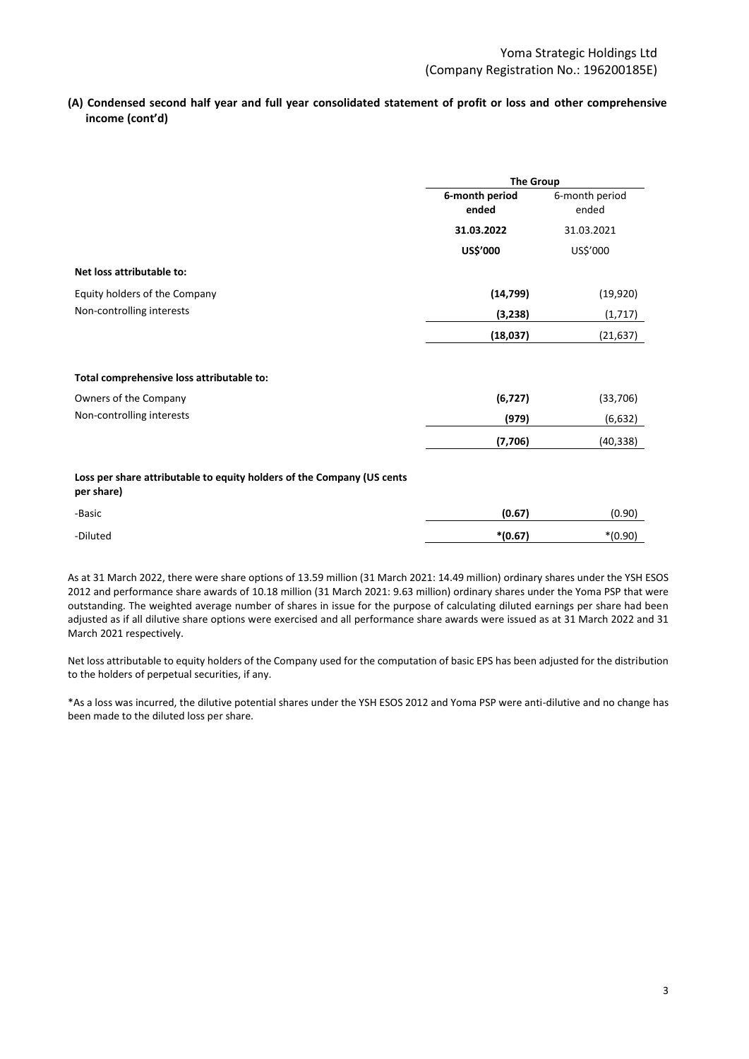## **(A) Condensed second half year and full year consolidated statement of profit or loss and other comprehensive income (cont'd)**

|                                                                                      | <b>The Group</b>        |                         |
|--------------------------------------------------------------------------------------|-------------------------|-------------------------|
|                                                                                      | 6-month period<br>ended | 6-month period<br>ended |
|                                                                                      | 31.03.2022              | 31.03.2021              |
|                                                                                      | US\$'000                | US\$'000                |
| Net loss attributable to:                                                            |                         |                         |
| Equity holders of the Company                                                        | (14, 799)               | (19, 920)               |
| Non-controlling interests                                                            | (3, 238)                | (1, 717)                |
|                                                                                      | (18,037)                | (21, 637)               |
| Total comprehensive loss attributable to:                                            |                         |                         |
| Owners of the Company                                                                | (6, 727)                | (33, 706)               |
| Non-controlling interests                                                            | (979)                   | (6, 632)                |
|                                                                                      | (7,706)                 | (40, 338)               |
| Loss per share attributable to equity holders of the Company (US cents<br>per share) |                         |                         |
| -Basic                                                                               | (0.67)                  | (0.90)                  |
| -Diluted                                                                             | $*(0.67)$               | $*(0.90)$               |

As at 31 March 2022, there were share options of 13.59 million (31 March 2021: 14.49 million) ordinary shares under the YSH ESOS 2012 and performance share awards of 10.18 million (31 March 2021: 9.63 million) ordinary shares under the Yoma PSP that were outstanding. The weighted average number of shares in issue for the purpose of calculating diluted earnings per share had been adjusted as if all dilutive share options were exercised and all performance share awards were issued as at 31 March 2022 and 31 March 2021 respectively.

Net loss attributable to equity holders of the Company used for the computation of basic EPS has been adjusted for the distribution to the holders of perpetual securities, if any.

\*As a loss was incurred, the dilutive potential shares under the YSH ESOS 2012 and Yoma PSP were anti-dilutive and no change has been made to the diluted loss per share.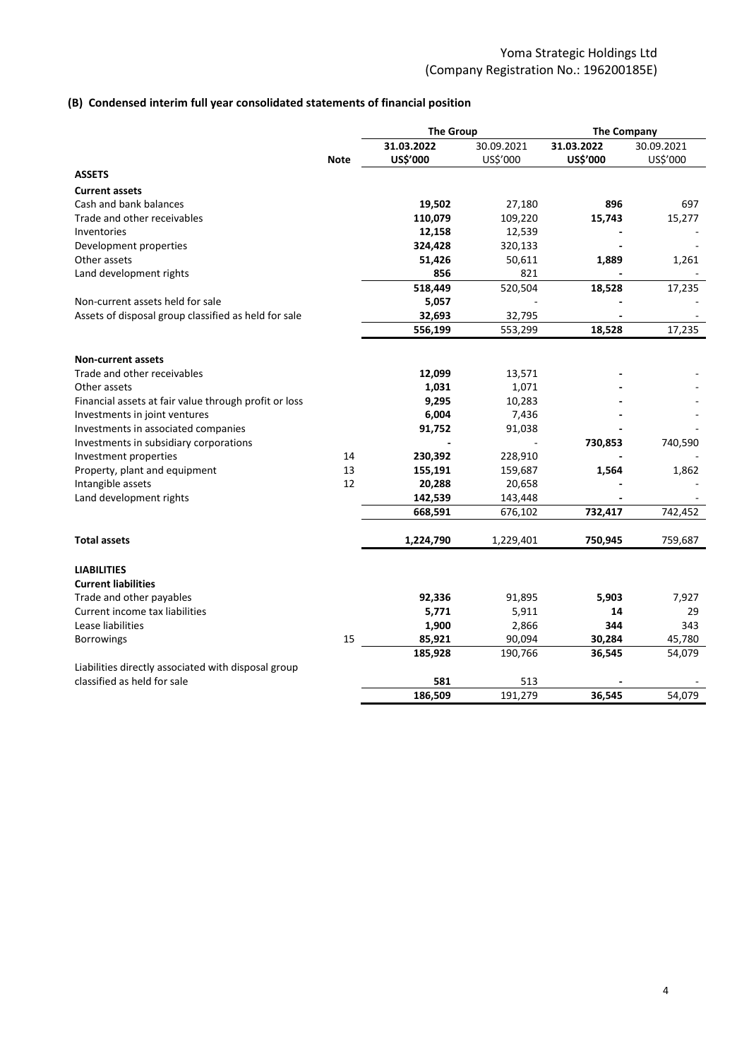## **(B) Condensed interim full year consolidated statements of financial position**

|                                                                      |             | <b>The Group</b> |                 | <b>The Company</b> |            |  |  |
|----------------------------------------------------------------------|-------------|------------------|-----------------|--------------------|------------|--|--|
|                                                                      |             | 31.03.2022       | 30.09.2021      | 31.03.2022         | 30.09.2021 |  |  |
|                                                                      | <b>Note</b> | US\$'000         | US\$'000        | US\$'000           | US\$'000   |  |  |
| <b>ASSETS</b>                                                        |             |                  |                 |                    |            |  |  |
| <b>Current assets</b>                                                |             |                  |                 |                    |            |  |  |
| Cash and bank balances                                               |             | 19,502           | 27,180          | 896                | 697        |  |  |
| Trade and other receivables                                          |             | 110,079          | 109,220         | 15,743             | 15,277     |  |  |
| Inventories                                                          |             | 12,158           | 12,539          |                    |            |  |  |
| Development properties                                               |             | 324,428          | 320,133         |                    |            |  |  |
| Other assets                                                         |             | 51,426           | 50,611          | 1,889              | 1,261      |  |  |
| Land development rights                                              |             | 856              | 821             |                    |            |  |  |
|                                                                      |             | 518,449          | 520,504         | 18,528             | 17,235     |  |  |
| Non-current assets held for sale                                     |             | 5,057            |                 |                    |            |  |  |
| Assets of disposal group classified as held for sale                 |             | 32,693           | 32,795          |                    |            |  |  |
|                                                                      |             | 556,199          | 553,299         | 18,528             | 17,235     |  |  |
|                                                                      |             |                  |                 |                    |            |  |  |
| <b>Non-current assets</b>                                            |             |                  |                 |                    |            |  |  |
| Trade and other receivables                                          |             | 12,099           | 13,571          |                    |            |  |  |
| Other assets                                                         |             | 1,031            | 1,071           |                    |            |  |  |
| Financial assets at fair value through profit or loss                |             | 9,295            | 10,283          |                    |            |  |  |
| Investments in joint ventures<br>Investments in associated companies |             | 6,004            | 7,436<br>91,038 |                    |            |  |  |
| Investments in subsidiary corporations                               |             | 91,752           |                 | 730,853            | 740,590    |  |  |
| Investment properties                                                | 14          | 230,392          | 228,910         |                    |            |  |  |
| Property, plant and equipment                                        | 13          | 155,191          | 159,687         | 1,564              | 1,862      |  |  |
| Intangible assets                                                    | 12          | 20,288           | 20,658          |                    |            |  |  |
| Land development rights                                              |             | 142,539          | 143,448         |                    |            |  |  |
|                                                                      |             | 668,591          | 676,102         | 732,417            | 742,452    |  |  |
|                                                                      |             |                  |                 |                    |            |  |  |
| <b>Total assets</b>                                                  |             | 1,224,790        | 1,229,401       | 750,945            | 759,687    |  |  |
| <b>LIABILITIES</b>                                                   |             |                  |                 |                    |            |  |  |
| <b>Current liabilities</b>                                           |             |                  |                 |                    |            |  |  |
| Trade and other payables                                             |             | 92,336           | 91,895          | 5,903              | 7,927      |  |  |
| Current income tax liabilities                                       |             | 5,771            | 5,911           | 14                 | 29         |  |  |
| Lease liabilities                                                    |             | 1,900            | 2,866           | 344                | 343        |  |  |
| Borrowings                                                           | 15          | 85,921           | 90,094          | 30,284             | 45,780     |  |  |
|                                                                      |             | 185,928          | 190,766         | 36,545             | 54,079     |  |  |
| Liabilities directly associated with disposal group                  |             |                  |                 |                    |            |  |  |
| classified as held for sale                                          |             | 581              | 513             |                    |            |  |  |
|                                                                      |             | 186,509          | 191,279         | 36,545             | 54.079     |  |  |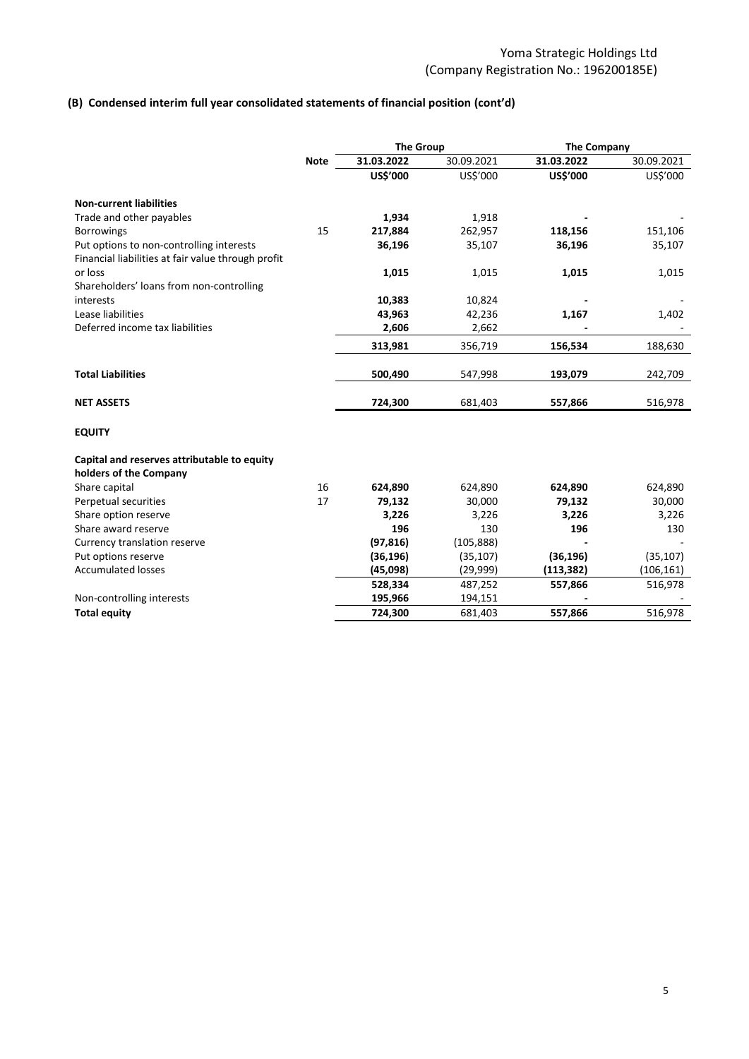# **(B) Condensed interim full year consolidated statements of financial position (cont'd)**

|                                                    |             | <b>The Group</b> |            | <b>The Company</b> |            |  |
|----------------------------------------------------|-------------|------------------|------------|--------------------|------------|--|
|                                                    | <b>Note</b> | 31.03.2022       | 30.09.2021 | 31.03.2022         | 30.09.2021 |  |
|                                                    |             | US\$'000         | US\$'000   | US\$'000           | US\$'000   |  |
| <b>Non-current liabilities</b>                     |             |                  |            |                    |            |  |
| Trade and other payables                           |             | 1,934            | 1,918      |                    |            |  |
| <b>Borrowings</b>                                  | 15          | 217,884          | 262,957    | 118,156            | 151,106    |  |
| Put options to non-controlling interests           |             | 36,196           | 35,107     | 36,196             | 35,107     |  |
| Financial liabilities at fair value through profit |             |                  |            |                    |            |  |
| or loss                                            |             | 1,015            | 1,015      | 1,015              | 1,015      |  |
| Shareholders' loans from non-controlling           |             |                  |            |                    |            |  |
| interests                                          |             | 10,383           | 10,824     |                    |            |  |
| Lease liabilities                                  |             | 43,963           | 42,236     | 1,167              | 1,402      |  |
| Deferred income tax liabilities                    |             | 2,606            | 2,662      |                    |            |  |
|                                                    |             | 313,981          | 356,719    | 156,534            | 188,630    |  |
| <b>Total Liabilities</b>                           |             | 500,490          | 547,998    | 193,079            | 242,709    |  |
| <b>NET ASSETS</b>                                  |             | 724,300          | 681,403    | 557,866            | 516,978    |  |
| <b>EQUITY</b>                                      |             |                  |            |                    |            |  |
| Capital and reserves attributable to equity        |             |                  |            |                    |            |  |
| holders of the Company                             |             |                  |            |                    |            |  |
| Share capital                                      | 16          | 624,890          | 624,890    | 624,890            | 624,890    |  |
| Perpetual securities                               | 17          | 79,132           | 30,000     | 79,132             | 30,000     |  |
| Share option reserve                               |             | 3,226            | 3,226      | 3,226              | 3,226      |  |
| Share award reserve                                |             | 196              | 130        | 196                | 130        |  |
| Currency translation reserve                       |             | (97, 816)        | (105, 888) |                    |            |  |
| Put options reserve                                |             | (36, 196)        | (35, 107)  | (36, 196)          | (35, 107)  |  |
| <b>Accumulated losses</b>                          |             | (45,098)         | (29,999)   | (113, 382)         | (106, 161) |  |
|                                                    |             | 528,334          | 487,252    | 557,866            | 516,978    |  |
| Non-controlling interests                          |             | 195,966          | 194,151    |                    |            |  |
| <b>Total equity</b>                                |             | 724,300          | 681,403    | 557,866            | 516,978    |  |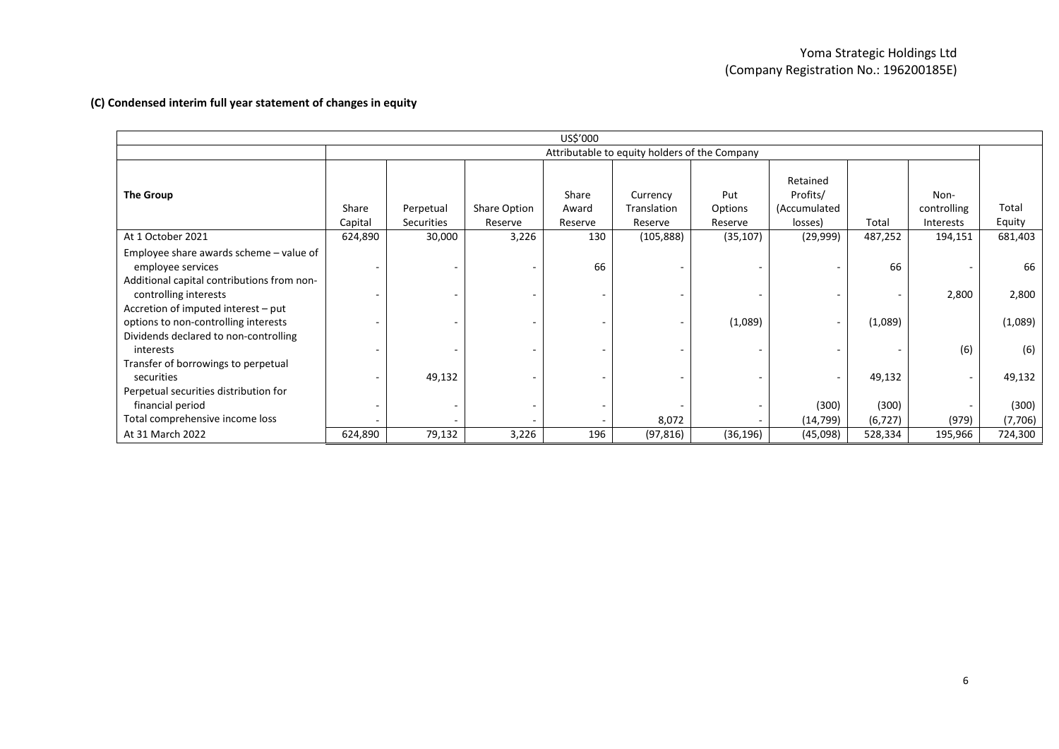|                                                                                                                                                                                                                    | US\$'000                                      |                         |                         |                           |                                    |                           |                                                 |                   |                                  |                        |  |
|--------------------------------------------------------------------------------------------------------------------------------------------------------------------------------------------------------------------|-----------------------------------------------|-------------------------|-------------------------|---------------------------|------------------------------------|---------------------------|-------------------------------------------------|-------------------|----------------------------------|------------------------|--|
|                                                                                                                                                                                                                    | Attributable to equity holders of the Company |                         |                         |                           |                                    |                           |                                                 |                   |                                  |                        |  |
| The Group                                                                                                                                                                                                          | Share<br>Capital                              | Perpetual<br>Securities | Share Option<br>Reserve | Share<br>Award<br>Reserve | Currency<br>Translation<br>Reserve | Put<br>Options<br>Reserve | Retained<br>Profits/<br>(Accumulated<br>losses) | Total             | Non-<br>controlling<br>Interests | Total<br>Equity        |  |
| At 1 October 2021                                                                                                                                                                                                  | 624,890                                       | 30,000                  | 3,226                   | 130                       | (105, 888)                         | (35, 107)                 | (29, 999)                                       | 487,252           | 194,151                          | 681,403                |  |
| Employee share awards scheme – value of<br>employee services<br>Additional capital contributions from non-<br>controlling interests<br>Accretion of imputed interest - put<br>options to non-controlling interests |                                               |                         |                         | 66                        |                                    | (1,089)                   | $\overline{\phantom{a}}$                        | 66<br>(1,089)     | 2,800                            | 66<br>2,800<br>(1,089) |  |
| Dividends declared to non-controlling<br>interests<br>Transfer of borrowings to perpetual                                                                                                                          |                                               |                         |                         |                           |                                    |                           |                                                 |                   | (6)                              | (6)                    |  |
| securities<br>Perpetual securities distribution for                                                                                                                                                                |                                               | 49,132                  |                         |                           |                                    |                           | $\overline{\phantom{a}}$                        | 49,132            |                                  | 49,132                 |  |
| financial period<br>Total comprehensive income loss                                                                                                                                                                |                                               |                         |                         |                           | 8,072                              |                           | (300)<br>(14, 799)                              | (300)<br>(6, 727) | (979)                            | (300)<br>(7,706)       |  |
| At 31 March 2022                                                                                                                                                                                                   | 624,890                                       | 79,132                  | 3,226                   | 196                       | (97, 816)                          | (36, 196)                 | (45,098)                                        | 528,334           | 195,966                          | 724,300                |  |

## **(C) Condensed interim full year statement of changes in equity**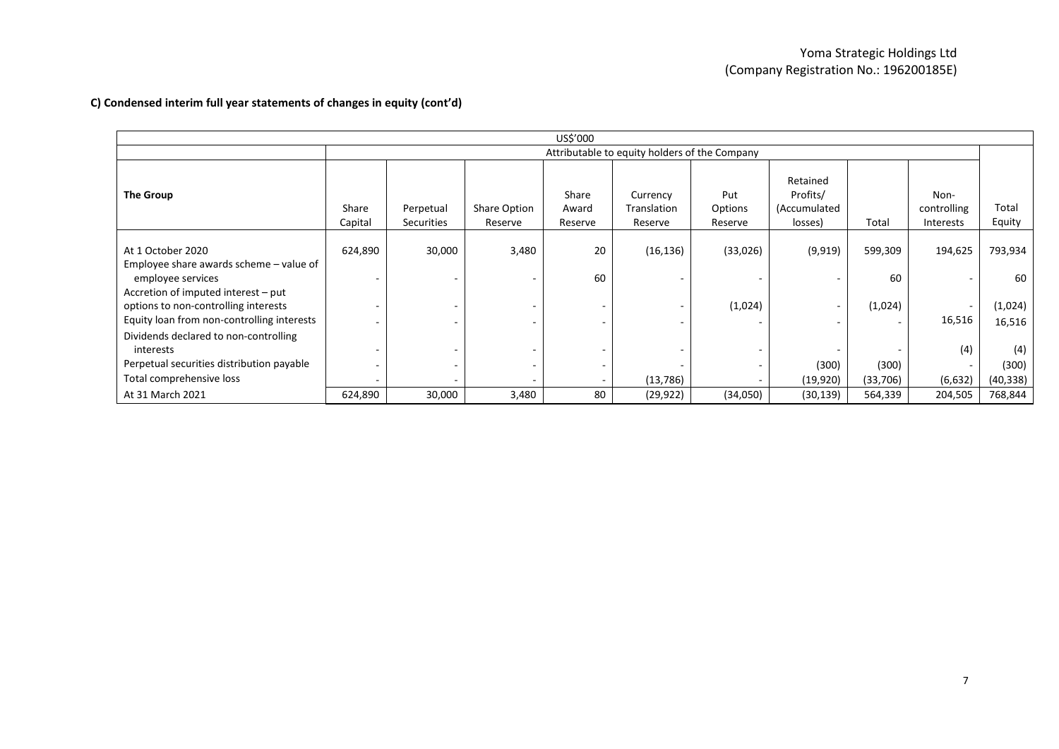| US\$'000                                                                                                                  |                  |                                               |                                                      |                           |                                    |                           |                                                 |          |                                  |                   |
|---------------------------------------------------------------------------------------------------------------------------|------------------|-----------------------------------------------|------------------------------------------------------|---------------------------|------------------------------------|---------------------------|-------------------------------------------------|----------|----------------------------------|-------------------|
|                                                                                                                           |                  | Attributable to equity holders of the Company |                                                      |                           |                                    |                           |                                                 |          |                                  |                   |
| The Group                                                                                                                 | Share<br>Capital | Perpetual<br><b>Securities</b>                | <b>Share Option</b><br>Reserve                       | Share<br>Award<br>Reserve | Currency<br>Translation<br>Reserve | Put<br>Options<br>Reserve | Retained<br>Profits/<br>(Accumulated<br>losses) | Total    | Non-<br>controlling<br>Interests | Total<br>Equity   |
|                                                                                                                           |                  |                                               |                                                      |                           |                                    |                           |                                                 |          |                                  |                   |
| At 1 October 2020                                                                                                         | 624,890          | 30,000                                        | 3,480                                                | 20                        | (16, 136)                          | (33,026)                  | (9, 919)                                        | 599,309  | 194,625                          | 793,934           |
| Employee share awards scheme – value of<br>employee services                                                              |                  |                                               | $\overline{\phantom{a}}$                             | 60                        |                                    |                           |                                                 | 60       |                                  | 60                |
| Accretion of imputed interest – put<br>options to non-controlling interests<br>Equity loan from non-controlling interests |                  |                                               | $\overline{\phantom{a}}$                             |                           |                                    | (1,024)                   |                                                 | (1,024)  | 16,516                           | (1,024)<br>16,516 |
| Dividends declared to non-controlling<br>interests                                                                        |                  |                                               | $\overline{\phantom{a}}$<br>$\overline{\phantom{a}}$ |                           |                                    |                           |                                                 |          | (4)                              | (4)               |
| Perpetual securities distribution payable                                                                                 |                  |                                               | $\sim$                                               |                           |                                    |                           | (300)                                           | (300)    |                                  | (300)             |
| Total comprehensive loss                                                                                                  |                  |                                               | $\overline{\phantom{a}}$                             |                           | (13, 786)                          |                           | (19, 920)                                       | (33,706) | (6, 632)                         | (40, 338)         |
| At 31 March 2021                                                                                                          | 624,890          | 30,000                                        | 3,480                                                | 80                        | (29, 922)                          | (34,050)                  | (30, 139)                                       | 564,339  | 204,505                          | 768,844           |

## **C) Condensed interim full year statements of changes in equity (cont'd)**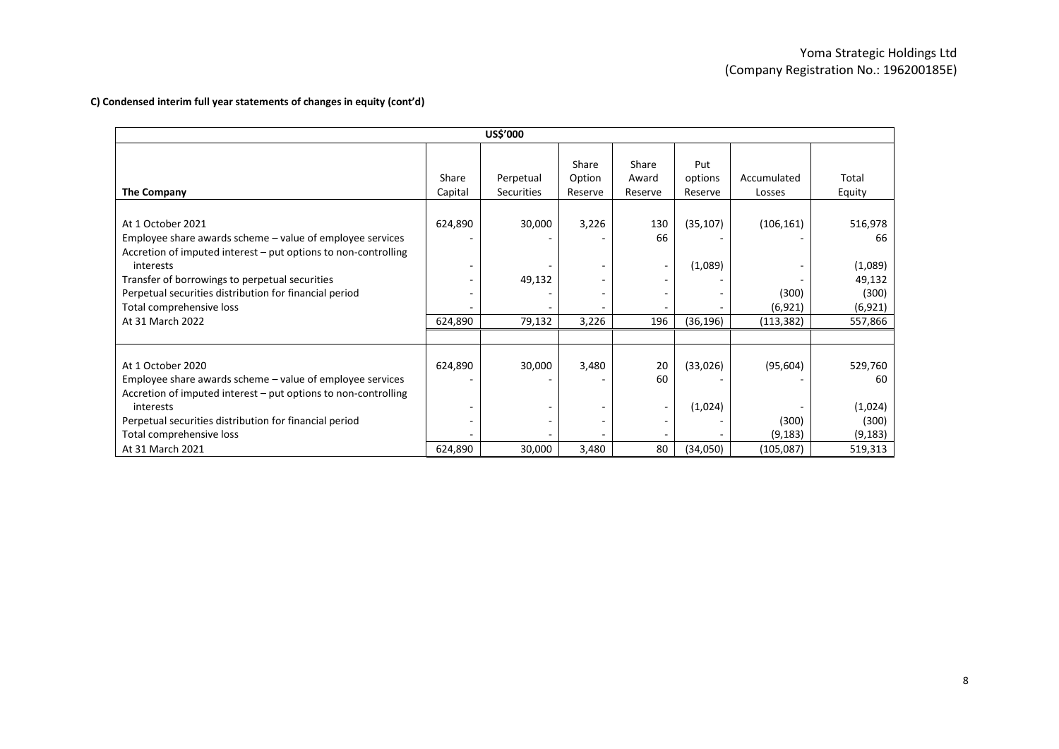## **C) Condensed interim full year statements of changes in equity (cont'd)**

| <b>US\$'000</b>                                                                                                                                                                                                                                                                                                           |                              |                                |                            |                           |                                   |                                               |                                                                    |  |  |
|---------------------------------------------------------------------------------------------------------------------------------------------------------------------------------------------------------------------------------------------------------------------------------------------------------------------------|------------------------------|--------------------------------|----------------------------|---------------------------|-----------------------------------|-----------------------------------------------|--------------------------------------------------------------------|--|--|
| The Company                                                                                                                                                                                                                                                                                                               | Share<br>Capital             | Perpetual<br><b>Securities</b> | Share<br>Option<br>Reserve | Share<br>Award<br>Reserve | Put<br>options<br>Reserve         | Accumulated<br>Losses                         | Total<br>Equity                                                    |  |  |
| At 1 October 2021<br>Employee share awards scheme – value of employee services<br>Accretion of imputed interest – put options to non-controlling<br>interests<br>Transfer of borrowings to perpetual securities<br>Perpetual securities distribution for financial period<br>Total comprehensive loss<br>At 31 March 2022 | 624,890<br>624,890           | 30,000<br>49,132<br>79,132     | 3,226<br>3,226             | 130<br>66<br>196          | (35, 107)<br>(1,089)<br>(36, 196) | (106, 161)<br>(300)<br>(6, 921)<br>(113, 382) | 516,978<br>66<br>(1,089)<br>49,132<br>(300)<br>(6, 921)<br>557,866 |  |  |
| At 1 October 2020<br>Employee share awards scheme - value of employee services<br>Accretion of imputed interest – put options to non-controlling<br>interests<br>Perpetual securities distribution for financial period<br>Total comprehensive loss<br>At 31 March 2021                                                   | 624,890<br>٠<br>٠<br>624,890 | 30,000<br>30,000               | 3,480<br>3,480             | 20<br>60<br>۰<br>80       | (33,026)<br>(1,024)<br>(34,050)   | (95, 604)<br>(300)<br>(9, 183)<br>(105, 087)  | 529,760<br>60<br>(1,024)<br>(300)<br>(9, 183)<br>519,313           |  |  |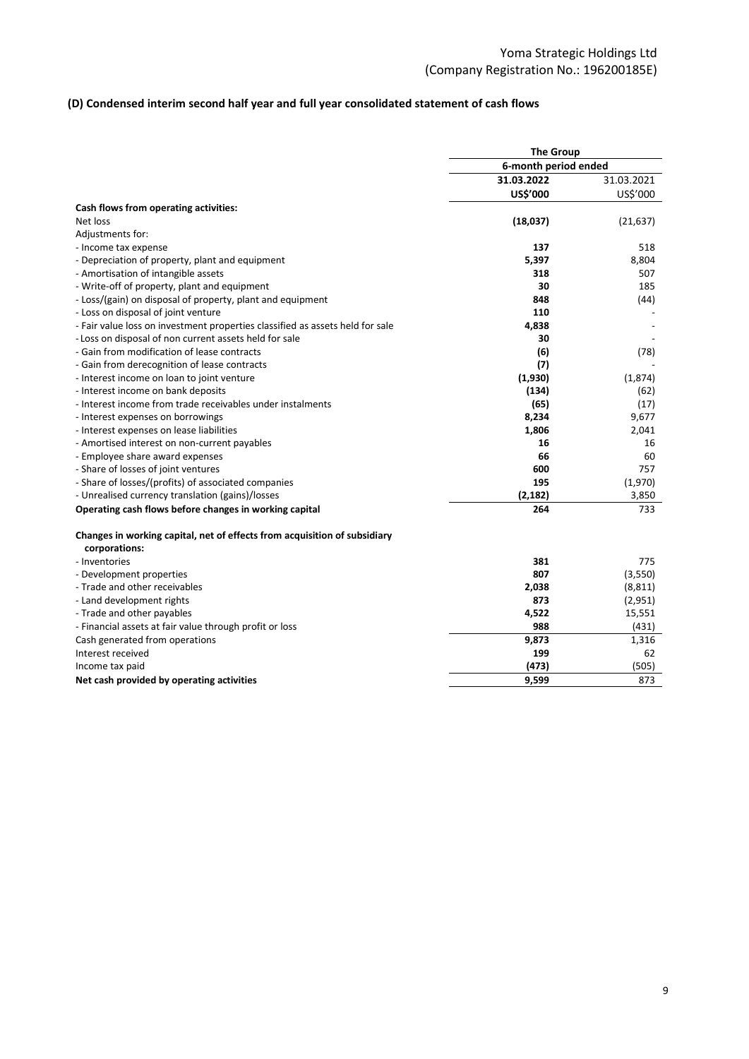## **(D) Condensed interim second half year and full year consolidated statement of cash flows**

|                                                                                            | <b>The Group</b>     |            |
|--------------------------------------------------------------------------------------------|----------------------|------------|
|                                                                                            | 6-month period ended |            |
|                                                                                            | 31.03.2022           | 31.03.2021 |
|                                                                                            | <b>US\$'000</b>      | US\$'000   |
| Cash flows from operating activities:                                                      |                      |            |
| Net loss                                                                                   | (18,037)             | (21, 637)  |
| Adjustments for:                                                                           |                      |            |
| - Income tax expense                                                                       | 137                  | 518        |
| - Depreciation of property, plant and equipment                                            | 5,397                | 8,804      |
| - Amortisation of intangible assets                                                        | 318                  | 507        |
| - Write-off of property, plant and equipment                                               | 30                   | 185        |
| - Loss/(gain) on disposal of property, plant and equipment                                 | 848                  | (44)       |
| - Loss on disposal of joint venture                                                        | 110                  |            |
| - Fair value loss on investment properties classified as assets held for sale              | 4,838                |            |
| - Loss on disposal of non current assets held for sale                                     | 30                   |            |
| - Gain from modification of lease contracts                                                | (6)                  | (78)       |
| - Gain from derecognition of lease contracts                                               | (7)                  |            |
| - Interest income on loan to joint venture                                                 | (1,930)              | (1,874)    |
| - Interest income on bank deposits                                                         | (134)                | (62)       |
| - Interest income from trade receivables under instalments                                 | (65)                 | (17)       |
| - Interest expenses on borrowings                                                          | 8,234                | 9,677      |
| - Interest expenses on lease liabilities                                                   | 1,806                | 2,041      |
| - Amortised interest on non-current payables                                               | 16                   | 16         |
| - Employee share award expenses                                                            | 66                   | 60         |
| - Share of losses of joint ventures                                                        | 600                  | 757        |
| - Share of losses/(profits) of associated companies                                        | 195                  | (1,970)    |
| - Unrealised currency translation (gains)/losses                                           | (2, 182)             | 3,850      |
| Operating cash flows before changes in working capital                                     | 264                  | 733        |
| Changes in working capital, net of effects from acquisition of subsidiary<br>corporations: |                      |            |
| - Inventories                                                                              | 381                  | 775        |
| - Development properties                                                                   | 807                  | (3,550)    |
| - Trade and other receivables                                                              | 2,038                | (8, 811)   |
| - Land development rights                                                                  | 873                  | (2,951)    |
| - Trade and other payables                                                                 | 4,522                | 15,551     |
| - Financial assets at fair value through profit or loss                                    | 988                  | (431)      |
| Cash generated from operations                                                             | 9,873                | 1,316      |
| Interest received                                                                          | 199                  | 62         |
| Income tax paid                                                                            | (473)                | (505)      |
| Net cash provided by operating activities                                                  | 9,599                | 873        |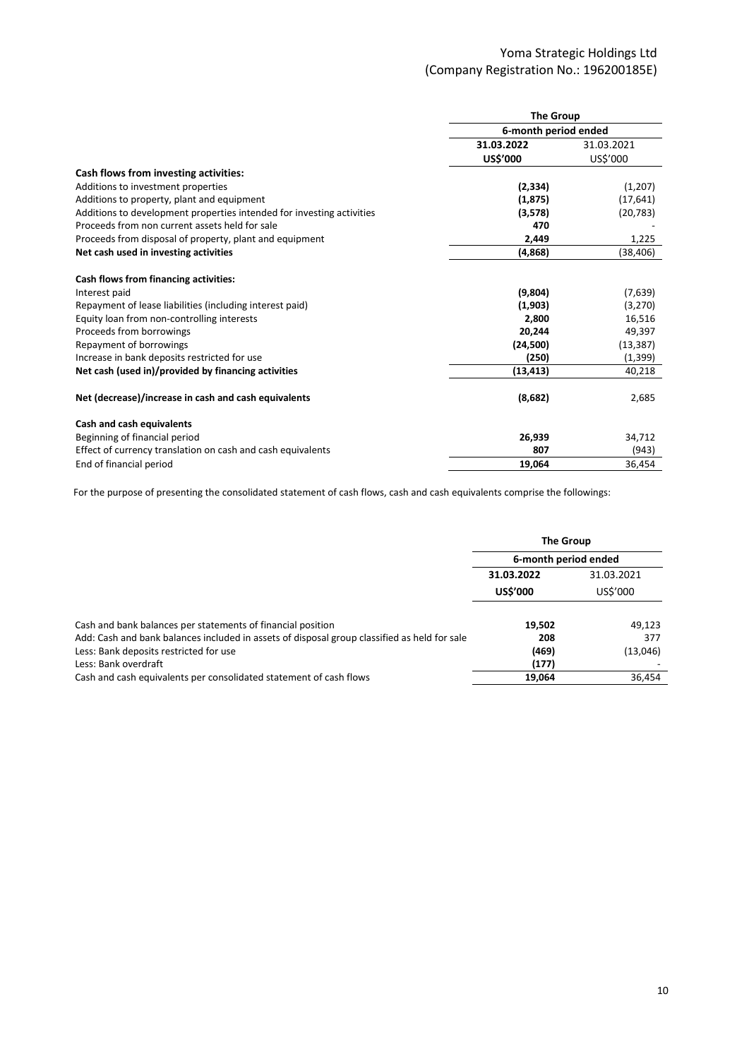|                                                                       | <b>The Group</b>     |            |  |  |  |
|-----------------------------------------------------------------------|----------------------|------------|--|--|--|
|                                                                       | 6-month period ended |            |  |  |  |
|                                                                       | 31.03.2022           | 31.03.2021 |  |  |  |
|                                                                       | US\$'000             | US\$'000   |  |  |  |
| Cash flows from investing activities:                                 |                      |            |  |  |  |
| Additions to investment properties                                    | (2, 334)             | (1,207)    |  |  |  |
| Additions to property, plant and equipment                            | (1, 875)             | (17, 641)  |  |  |  |
| Additions to development properties intended for investing activities | (3,578)              | (20, 783)  |  |  |  |
| Proceeds from non current assets held for sale                        | 470                  |            |  |  |  |
| Proceeds from disposal of property, plant and equipment               | 2,449                | 1,225      |  |  |  |
| Net cash used in investing activities                                 | (4,868)              | (38, 406)  |  |  |  |
| Cash flows from financing activities:                                 |                      |            |  |  |  |
| Interest paid                                                         | (9,804)              | (7,639)    |  |  |  |
| Repayment of lease liabilities (including interest paid)              | (1,903)              | (3,270)    |  |  |  |
| Equity loan from non-controlling interests                            | 2,800                | 16,516     |  |  |  |
| Proceeds from borrowings                                              | 20,244               | 49,397     |  |  |  |
| Repayment of borrowings                                               | (24, 500)            | (13, 387)  |  |  |  |
| Increase in bank deposits restricted for use                          | (250)                | (1, 399)   |  |  |  |
| Net cash (used in)/provided by financing activities                   | (13, 413)            | 40,218     |  |  |  |
| Net (decrease)/increase in cash and cash equivalents                  | (8,682)              | 2,685      |  |  |  |
| Cash and cash equivalents                                             |                      |            |  |  |  |
| Beginning of financial period                                         | 26,939               | 34,712     |  |  |  |
| Effect of currency translation on cash and cash equivalents           | 807                  | (943)      |  |  |  |
| End of financial period                                               | 19,064               | 36,454     |  |  |  |

For the purpose of presenting the consolidated statement of cash flows, cash and cash equivalents comprise the followings:

|                                                                                              | <b>The Group</b>     |            |  |  |
|----------------------------------------------------------------------------------------------|----------------------|------------|--|--|
|                                                                                              | 6-month period ended |            |  |  |
|                                                                                              | 31.03.2022           | 31.03.2021 |  |  |
|                                                                                              | <b>US\$'000</b>      | US\$'000   |  |  |
| Cash and bank balances per statements of financial position                                  | 19,502               | 49,123     |  |  |
| Add: Cash and bank balances included in assets of disposal group classified as held for sale | 208                  | 377        |  |  |
| Less: Bank deposits restricted for use                                                       | (469)                | (13,046)   |  |  |
| Less: Bank overdraft                                                                         | (177)                |            |  |  |
| Cash and cash equivalents per consolidated statement of cash flows                           | 19,064               | 36,454     |  |  |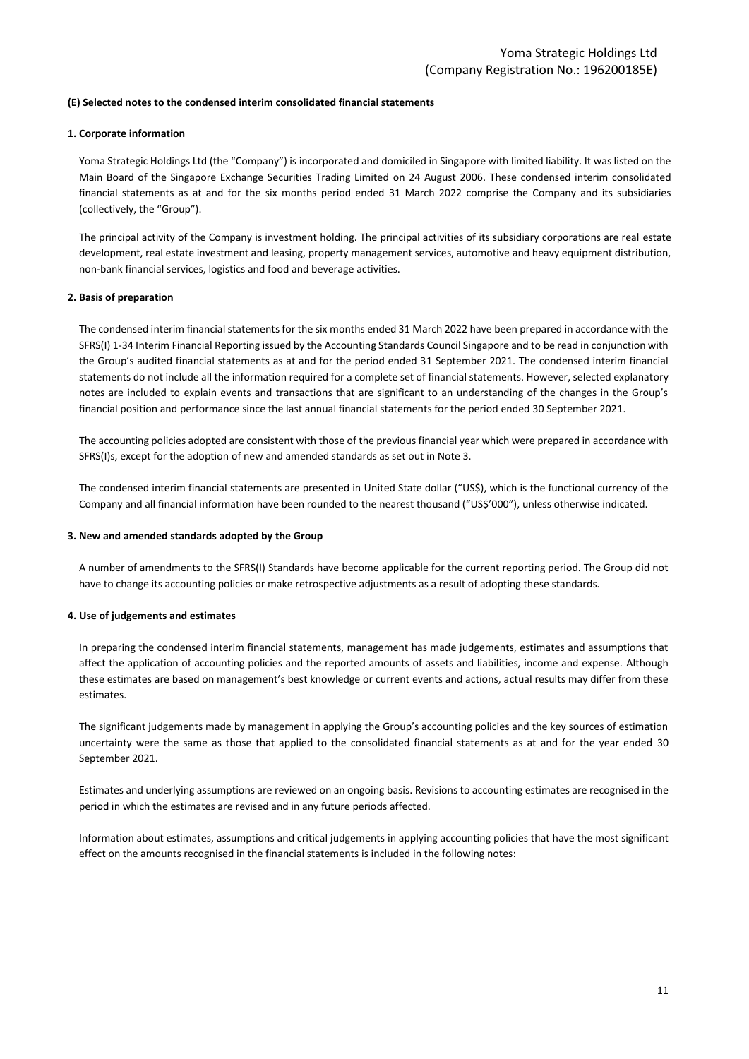#### **(E) Selected notes to the condensed interim consolidated financial statements**

#### **1. Corporate information**

Yoma Strategic Holdings Ltd (the "Company") is incorporated and domiciled in Singapore with limited liability. It was listed on the Main Board of the Singapore Exchange Securities Trading Limited on 24 August 2006. These condensed interim consolidated financial statements as at and for the six months period ended 31 March 2022 comprise the Company and its subsidiaries (collectively, the "Group").

The principal activity of the Company is investment holding. The principal activities of its subsidiary corporations are real estate development, real estate investment and leasing, property management services, automotive and heavy equipment distribution, non-bank financial services, logistics and food and beverage activities.

#### **2. Basis of preparation**

The condensed interim financial statements for the six months ended 31 March 2022 have been prepared in accordance with the SFRS(I) 1-34 Interim Financial Reporting issued by the Accounting Standards Council Singapore and to be read in conjunction with the Group's audited financial statements as at and for the period ended 31 September 2021. The condensed interim financial statements do not include all the information required for a complete set of financial statements. However, selected explanatory notes are included to explain events and transactions that are significant to an understanding of the changes in the Group's financial position and performance since the last annual financial statements for the period ended 30 September 2021.

The accounting policies adopted are consistent with those of the previous financial year which were prepared in accordance with SFRS(I)s, except for the adoption of new and amended standards as set out in Note 3.

The condensed interim financial statements are presented in United State dollar ("US\$), which is the functional currency of the Company and all financial information have been rounded to the nearest thousand ("US\$'000"), unless otherwise indicated.

#### **3. New and amended standards adopted by the Group**

A number of amendments to the SFRS(I) Standards have become applicable for the current reporting period. The Group did not have to change its accounting policies or make retrospective adjustments as a result of adopting these standards.

#### **4. Use of judgements and estimates**

In preparing the condensed interim financial statements, management has made judgements, estimates and assumptions that affect the application of accounting policies and the reported amounts of assets and liabilities, income and expense. Although these estimates are based on management's best knowledge or current events and actions, actual results may differ from these estimates.

The significant judgements made by management in applying the Group's accounting policies and the key sources of estimation uncertainty were the same as those that applied to the consolidated financial statements as at and for the year ended 30 September 2021.

Estimates and underlying assumptions are reviewed on an ongoing basis. Revisions to accounting estimates are recognised in the period in which the estimates are revised and in any future periods affected.

Information about estimates, assumptions and critical judgements in applying accounting policies that have the most significant effect on the amounts recognised in the financial statements is included in the following notes: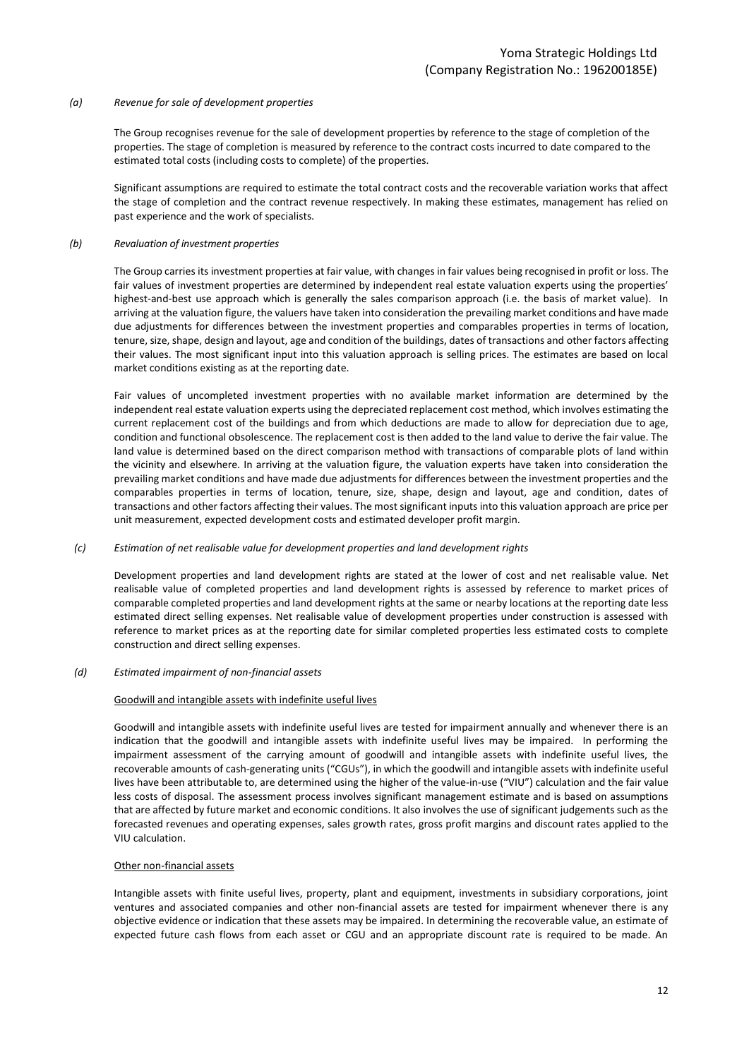#### *(a) Revenue for sale of development properties*

The Group recognises revenue for the sale of development properties by reference to the stage of completion of the properties. The stage of completion is measured by reference to the contract costs incurred to date compared to the estimated total costs (including costs to complete) of the properties.

Significant assumptions are required to estimate the total contract costs and the recoverable variation works that affect the stage of completion and the contract revenue respectively. In making these estimates, management has relied on past experience and the work of specialists.

#### *(b) Revaluation of investment properties*

The Group carries its investment properties at fair value, with changes in fair values being recognised in profit or loss. The fair values of investment properties are determined by independent real estate valuation experts using the properties' highest-and-best use approach which is generally the sales comparison approach (i.e. the basis of market value). In arriving at the valuation figure, the valuers have taken into consideration the prevailing market conditions and have made due adjustments for differences between the investment properties and comparables properties in terms of location, tenure, size, shape, design and layout, age and condition of the buildings, dates of transactions and other factors affecting their values. The most significant input into this valuation approach is selling prices. The estimates are based on local market conditions existing as at the reporting date.

Fair values of uncompleted investment properties with no available market information are determined by the independent real estate valuation experts using the depreciated replacement cost method, which involves estimating the current replacement cost of the buildings and from which deductions are made to allow for depreciation due to age, condition and functional obsolescence. The replacement cost is then added to the land value to derive the fair value. The land value is determined based on the direct comparison method with transactions of comparable plots of land within the vicinity and elsewhere. In arriving at the valuation figure, the valuation experts have taken into consideration the prevailing market conditions and have made due adjustments for differences between the investment properties and the comparables properties in terms of location, tenure, size, shape, design and layout, age and condition, dates of transactions and other factors affecting their values. The most significant inputs into this valuation approach are price per unit measurement, expected development costs and estimated developer profit margin.

### *(c) Estimation of net realisable value for development properties and land development rights*

Development properties and land development rights are stated at the lower of cost and net realisable value. Net realisable value of completed properties and land development rights is assessed by reference to market prices of comparable completed properties and land development rights at the same or nearby locations at the reporting date less estimated direct selling expenses. Net realisable value of development properties under construction is assessed with reference to market prices as at the reporting date for similar completed properties less estimated costs to complete construction and direct selling expenses.

#### *(d) Estimated impairment of non-financial assets*

### Goodwill and intangible assets with indefinite useful lives

Goodwill and intangible assets with indefinite useful lives are tested for impairment annually and whenever there is an indication that the goodwill and intangible assets with indefinite useful lives may be impaired. In performing the impairment assessment of the carrying amount of goodwill and intangible assets with indefinite useful lives, the recoverable amounts of cash-generating units ("CGUs"), in which the goodwill and intangible assets with indefinite useful lives have been attributable to, are determined using the higher of the value-in-use ("VIU") calculation and the fair value less costs of disposal. The assessment process involves significant management estimate and is based on assumptions that are affected by future market and economic conditions. It also involves the use of significant judgements such as the forecasted revenues and operating expenses, sales growth rates, gross profit margins and discount rates applied to the VIU calculation.

#### Other non-financial assets

Intangible assets with finite useful lives, property, plant and equipment, investments in subsidiary corporations, joint ventures and associated companies and other non-financial assets are tested for impairment whenever there is any objective evidence or indication that these assets may be impaired. In determining the recoverable value, an estimate of expected future cash flows from each asset or CGU and an appropriate discount rate is required to be made. An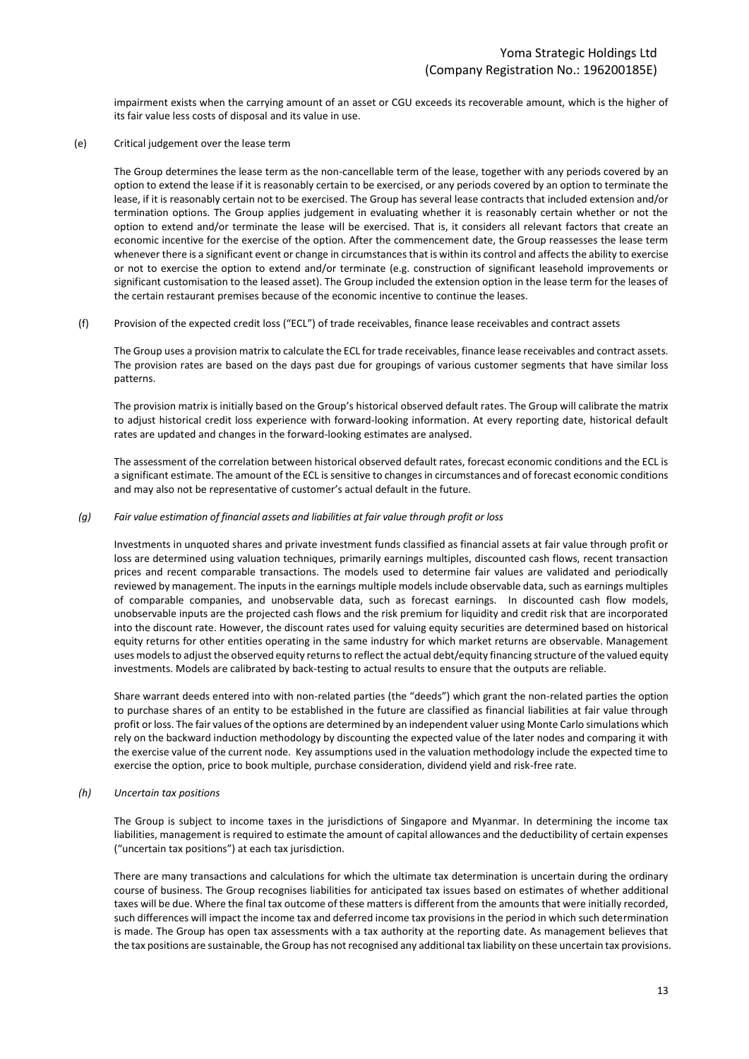impairment exists when the carrying amount of an asset or CGU exceeds its recoverable amount, which is the higher of its fair value less costs of disposal and its value in use.

(e) Critical judgement over the lease term

The Group determines the lease term as the non-cancellable term of the lease, together with any periods covered by an option to extend the lease if it is reasonably certain to be exercised, or any periods covered by an option to terminate the lease, if it is reasonably certain not to be exercised. The Group has several lease contracts that included extension and/or termination options. The Group applies judgement in evaluating whether it is reasonably certain whether or not the option to extend and/or terminate the lease will be exercised. That is, it considers all relevant factors that create an economic incentive for the exercise of the option. After the commencement date, the Group reassesses the lease term whenever there is a significant event or change in circumstances that is within its control and affects the ability to exercise or not to exercise the option to extend and/or terminate (e.g. construction of significant leasehold improvements or significant customisation to the leased asset). The Group included the extension option in the lease term for the leases of the certain restaurant premises because of the economic incentive to continue the leases.

(f) Provision of the expected credit loss ("ECL") of trade receivables, finance lease receivables and contract assets

The Group uses a provision matrix to calculate the ECL for trade receivables, finance lease receivables and contract assets. The provision rates are based on the days past due for groupings of various customer segments that have similar loss patterns.

The provision matrix is initially based on the Group's historical observed default rates. The Group will calibrate the matrix to adjust historical credit loss experience with forward-looking information. At every reporting date, historical default rates are updated and changes in the forward-looking estimates are analysed.

The assessment of the correlation between historical observed default rates, forecast economic conditions and the ECL is a significant estimate. The amount of the ECL is sensitive to changes in circumstances and of forecast economic conditions and may also not be representative of customer's actual default in the future.

#### *(g) Fair value estimation of financial assets and liabilities at fair value through profit or loss*

Investments in unquoted shares and private investment funds classified as financial assets at fair value through profit or loss are determined using valuation techniques, primarily earnings multiples, discounted cash flows, recent transaction prices and recent comparable transactions. The models used to determine fair values are validated and periodically reviewed by management. The inputs in the earnings multiple models include observable data, such as earnings multiples of comparable companies, and unobservable data, such as forecast earnings. In discounted cash flow models, unobservable inputs are the projected cash flows and the risk premium for liquidity and credit risk that are incorporated into the discount rate. However, the discount rates used for valuing equity securities are determined based on historical equity returns for other entities operating in the same industry for which market returns are observable. Management uses models to adjust the observed equity returns to reflect the actual debt/equity financing structure of the valued equity investments. Models are calibrated by back-testing to actual results to ensure that the outputs are reliable.

Share warrant deeds entered into with non-related parties (the "deeds") which grant the non-related parties the option to purchase shares of an entity to be established in the future are classified as financial liabilities at fair value through profit or loss. The fair values of the options are determined by an independent valuer using Monte Carlo simulations which rely on the backward induction methodology by discounting the expected value of the later nodes and comparing it with the exercise value of the current node. Key assumptions used in the valuation methodology include the expected time to exercise the option, price to book multiple, purchase consideration, dividend yield and risk-free rate.

*(h) Uncertain tax positions*

The Group is subject to income taxes in the jurisdictions of Singapore and Myanmar. In determining the income tax liabilities, management is required to estimate the amount of capital allowances and the deductibility of certain expenses ("uncertain tax positions") at each tax jurisdiction.

There are many transactions and calculations for which the ultimate tax determination is uncertain during the ordinary course of business. The Group recognises liabilities for anticipated tax issues based on estimates of whether additional taxes will be due. Where the final tax outcome of these matters is different from the amounts that were initially recorded, such differences will impact the income tax and deferred income tax provisions in the period in which such determination is made. The Group has open tax assessments with a tax authority at the reporting date. As management believes that the tax positions are sustainable, the Group has not recognised any additional tax liability on these uncertain tax provisions.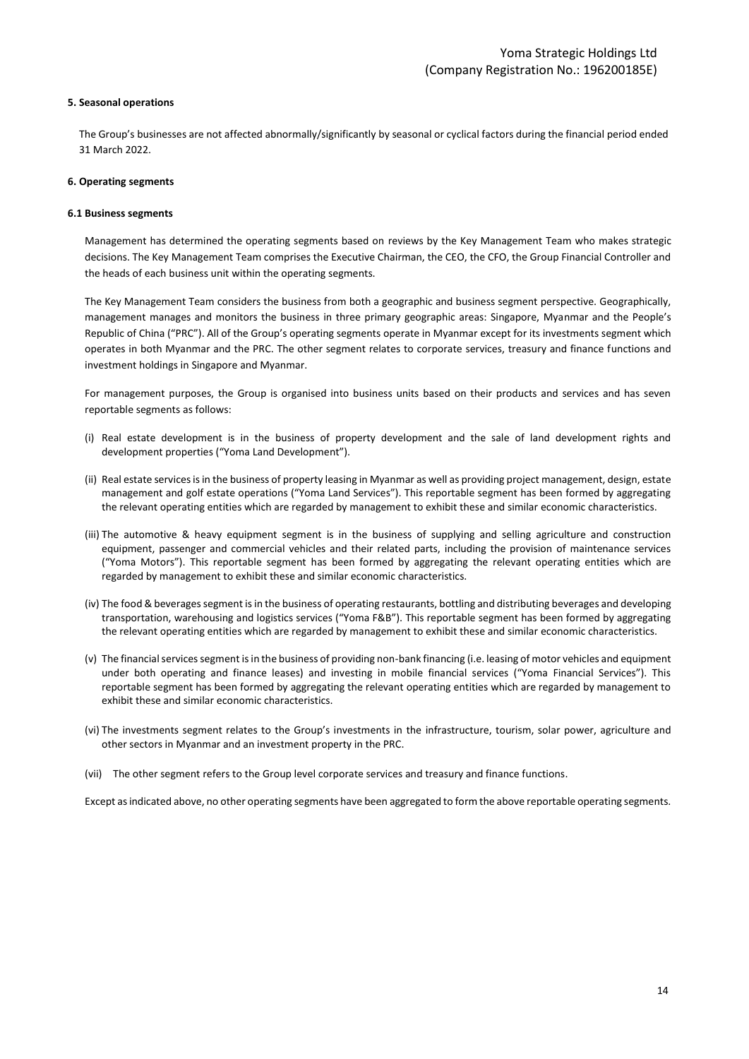#### **5. Seasonal operations**

The Group's businesses are not affected abnormally/significantly by seasonal or cyclical factors during the financial period ended 31 March 2022.

#### **6. Operating segments**

#### **6.1 Business segments**

Management has determined the operating segments based on reviews by the Key Management Team who makes strategic decisions. The Key Management Team comprises the Executive Chairman, the CEO, the CFO, the Group Financial Controller and the heads of each business unit within the operating segments.

The Key Management Team considers the business from both a geographic and business segment perspective. Geographically, management manages and monitors the business in three primary geographic areas: Singapore, Myanmar and the People's Republic of China ("PRC"). All of the Group's operating segments operate in Myanmar except for its investments segment which operates in both Myanmar and the PRC. The other segment relates to corporate services, treasury and finance functions and investment holdings in Singapore and Myanmar.

For management purposes, the Group is organised into business units based on their products and services and has seven reportable segments as follows:

- (i) Real estate development is in the business of property development and the sale of land development rights and development properties ("Yoma Land Development").
- (ii) Real estate services is in the business of property leasing in Myanmar as well as providing project management, design, estate management and golf estate operations ("Yoma Land Services"). This reportable segment has been formed by aggregating the relevant operating entities which are regarded by management to exhibit these and similar economic characteristics.
- (iii) The automotive & heavy equipment segment is in the business of supplying and selling agriculture and construction equipment, passenger and commercial vehicles and their related parts, including the provision of maintenance services ("Yoma Motors"). This reportable segment has been formed by aggregating the relevant operating entities which are regarded by management to exhibit these and similar economic characteristics.
- (iv) The food & beverages segment is in the business of operating restaurants, bottling and distributing beverages and developing transportation, warehousing and logistics services ("Yoma F&B"). This reportable segment has been formed by aggregating the relevant operating entities which are regarded by management to exhibit these and similar economic characteristics.
- (v) The financial services segment is in the business of providing non-bank financing (i.e. leasing of motor vehicles and equipment under both operating and finance leases) and investing in mobile financial services ("Yoma Financial Services"). This reportable segment has been formed by aggregating the relevant operating entities which are regarded by management to exhibit these and similar economic characteristics.
- (vi) The investments segment relates to the Group's investments in the infrastructure, tourism, solar power, agriculture and other sectors in Myanmar and an investment property in the PRC.
- (vii) The other segment refers to the Group level corporate services and treasury and finance functions.

Except as indicated above, no other operating segments have been aggregated to form the above reportable operating segments.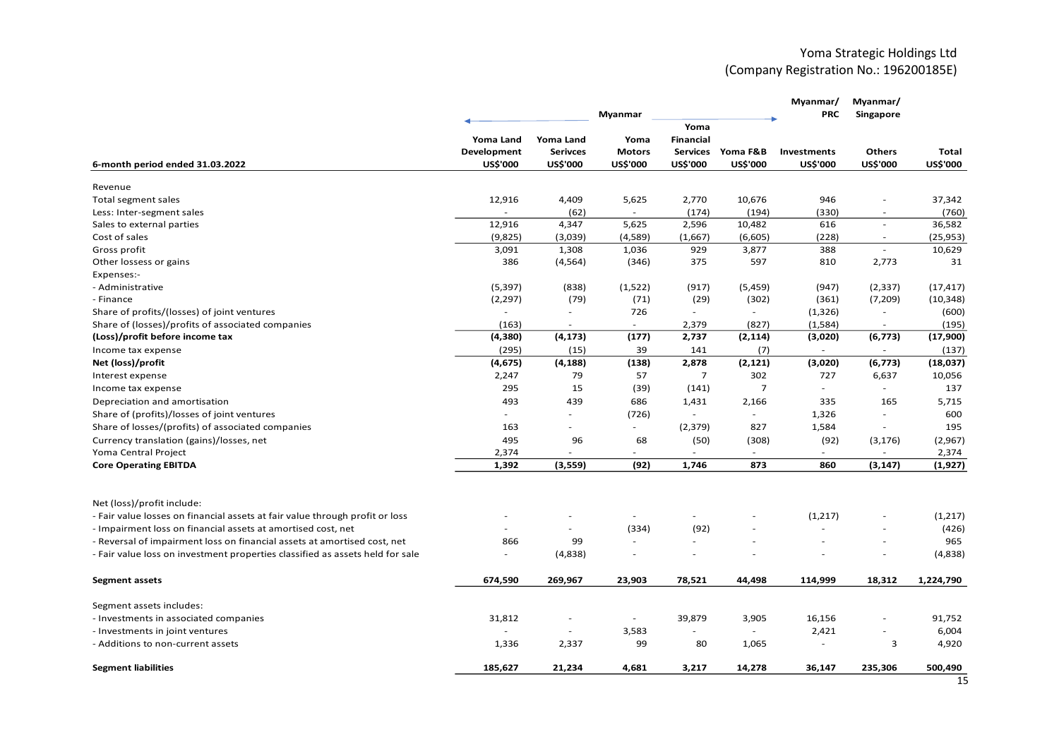# Yoma Strategic Holdings Ltd (Company Registration No.: 196200185E)

|                                                                               |                          |                          | Myanmar         |                  |                          | Myanmar/<br><b>PRC</b>   | Myanmar/<br>Singapore    |                 |
|-------------------------------------------------------------------------------|--------------------------|--------------------------|-----------------|------------------|--------------------------|--------------------------|--------------------------|-----------------|
|                                                                               |                          |                          |                 | Yoma             |                          |                          |                          |                 |
|                                                                               | Yoma Land                | Yoma Land                | Yoma            | <b>Financial</b> |                          |                          |                          |                 |
|                                                                               | Development              | <b>Serivces</b>          | <b>Motors</b>   | <b>Services</b>  | Yoma F&B                 | Investments              | Others                   | Total           |
| 6-month period ended 31.03.2022                                               | <b>US\$'000</b>          | US\$'000                 | <b>US\$'000</b> | <b>US\$'000</b>  | <b>US\$'000</b>          | <b>US\$'000</b>          | <b>US\$'000</b>          | <b>US\$'000</b> |
| Revenue                                                                       |                          |                          |                 |                  |                          |                          |                          |                 |
| Total segment sales                                                           | 12,916                   | 4,409                    | 5,625           | 2,770            | 10,676                   | 946                      | $\sim$                   | 37,342          |
| Less: Inter-segment sales                                                     | $\overline{\phantom{a}}$ | (62)                     | $\sim$          | (174)            | (194)                    | (330)                    | ÷,                       | (760)           |
| Sales to external parties                                                     | 12,916                   | 4,347                    | 5,625           | 2,596            | 10,482                   | 616                      | ÷,                       | 36,582          |
| Cost of sales                                                                 | (9,825)                  | (3,039)                  | (4,589)         | (1,667)          | (6,605)                  | (228)                    |                          | (25, 953)       |
| Gross profit                                                                  | 3,091                    | 1,308                    | 1,036           | 929              | 3,877                    | 388                      | $\sim$                   | 10,629          |
| Other lossess or gains                                                        | 386                      | (4, 564)                 | (346)           | 375              | 597                      | 810                      | 2,773                    | 31              |
| Expenses:-                                                                    |                          |                          |                 |                  |                          |                          |                          |                 |
| - Administrative                                                              | (5, 397)                 | (838)                    | (1,522)         | (917)            | (5,459)                  | (947)                    | (2, 337)                 | (17, 417)       |
| - Finance                                                                     | (2, 297)                 | (79)                     | (71)            | (29)             | (302)                    | (361)                    | (7, 209)                 | (10, 348)       |
| Share of profits/(losses) of joint ventures                                   |                          | $\overline{\phantom{a}}$ | 726             |                  |                          | (1, 326)                 | $\overline{\phantom{a}}$ | (600)           |
| Share of (losses)/profits of associated companies                             | (163)                    | $\overline{\phantom{a}}$ | $\sim$          | 2,379            | (827)                    | (1,584)                  | $\sim$                   | (195)           |
| (Loss)/profit before income tax                                               | (4, 380)                 | (4, 173)                 | (177)           | 2,737            | (2, 114)                 | (3,020)                  | (6, 773)                 | (17,900)        |
| Income tax expense                                                            | (295)                    | (15)                     | 39              | 141              | (7)                      | $\overline{\phantom{a}}$ | $\overline{\phantom{a}}$ | (137)           |
| Net (loss)/profit                                                             | (4, 675)                 | (4, 188)                 | (138)           | 2,878            | (2, 121)                 | (3,020)                  | (6, 773)                 | (18,037)        |
| Interest expense                                                              | 2,247                    | 79                       | 57              | $\overline{7}$   | 302                      | 727                      | 6,637                    | 10,056          |
| Income tax expense                                                            | 295                      | 15                       | (39)            | (141)            | $\overline{7}$           | $\overline{\phantom{a}}$ |                          | 137             |
| Depreciation and amortisation                                                 | 493                      | 439                      | 686             | 1,431            | 2,166                    | 335                      | 165                      | 5,715           |
| Share of (profits)/losses of joint ventures                                   | $\sim$                   | $\sim$                   | (726)           | $\sim$           | $\sim$                   | 1,326                    | ÷                        | 600             |
| Share of losses/(profits) of associated companies                             | 163                      | $\sim$                   | $\blacksquare$  | (2, 379)         | 827                      | 1,584                    |                          | 195             |
| Currency translation (gains)/losses, net                                      | 495                      | 96                       | 68              | (50)             | (308)                    | (92)                     | (3, 176)                 | (2,967)         |
| Yoma Central Project                                                          | 2,374                    |                          |                 | ä,               | $\overline{\phantom{a}}$ | $\sim$                   |                          | 2,374           |
| <b>Core Operating EBITDA</b>                                                  | 1,392                    | (3, 559)                 | (92)            | 1,746            | 873                      | 860                      | (3, 147)                 | (1,927)         |
|                                                                               |                          |                          |                 |                  |                          |                          |                          |                 |
| Net (loss)/profit include:                                                    |                          |                          |                 |                  |                          |                          |                          |                 |
| - Fair value losses on financial assets at fair value through profit or loss  |                          |                          |                 |                  |                          | (1,217)                  |                          | (1,217)         |
| - Impairment loss on financial assets at amortised cost, net                  |                          | $\overline{\phantom{a}}$ | (334)           | (92)             |                          |                          | ÷,                       | (426)           |
| - Reversal of impairment loss on financial assets at amortised cost, net      | 866                      | 99                       |                 |                  |                          |                          |                          | 965             |
| - Fair value loss on investment properties classified as assets held for sale |                          | (4,838)                  |                 | ÷,               |                          |                          |                          | (4,838)         |
|                                                                               |                          |                          |                 |                  |                          |                          |                          |                 |
| <b>Segment assets</b>                                                         | 674,590                  | 269,967                  | 23,903          | 78,521           | 44,498                   | 114,999                  | 18,312                   | 1,224,790       |
| Segment assets includes:                                                      |                          |                          |                 |                  |                          |                          |                          |                 |
| - Investments in associated companies                                         | 31,812                   | $\sim$                   |                 | 39,879           | 3,905                    | 16,156                   |                          | 91,752          |
| - Investments in joint ventures                                               |                          | $\sim$                   | 3,583           | L.               | $\sim$                   | 2,421                    | ÷,                       | 6,004           |
| - Additions to non-current assets                                             | 1,336                    | 2,337                    | 99              | 80               | 1,065                    | ÷                        | 3                        | 4,920           |
| <b>Segment liabilities</b>                                                    | 185,627                  | 21,234                   | 4,681           | 3,217            | 14,278                   | 36,147                   | 235,306                  | 500,490         |
|                                                                               |                          |                          |                 |                  |                          |                          |                          |                 |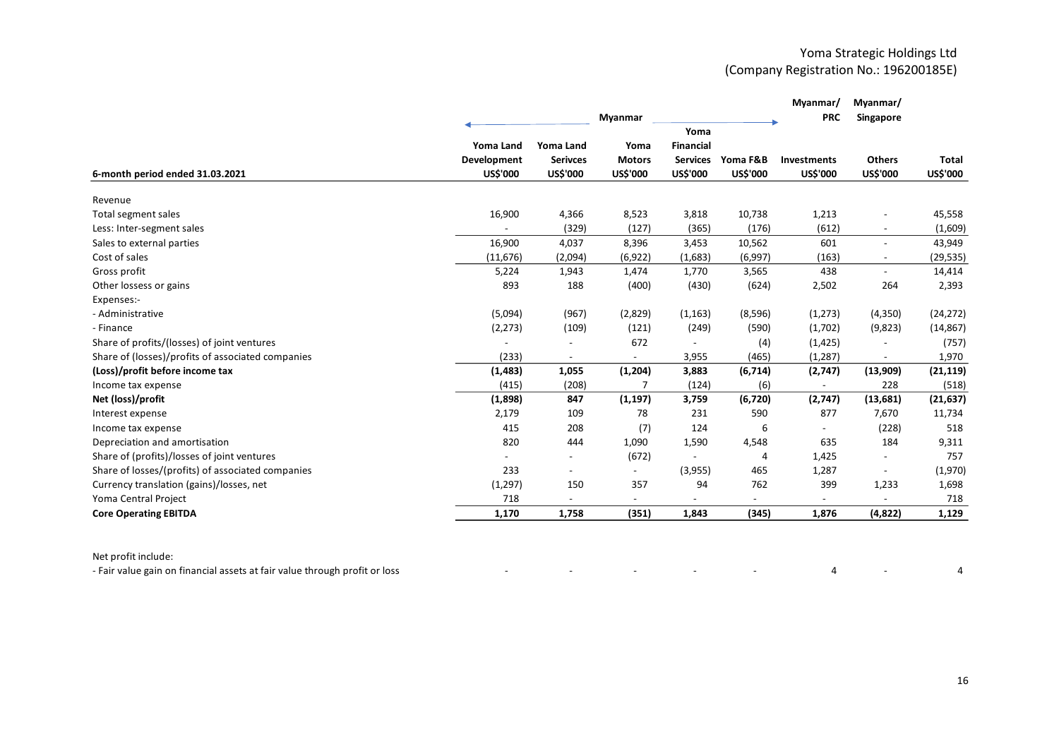|                                                   |                  |                          | Myanmar                  |                  |                 | Myanmar/<br><b>PRC</b> | Myanmar/<br>Singapore    |           |
|---------------------------------------------------|------------------|--------------------------|--------------------------|------------------|-----------------|------------------------|--------------------------|-----------|
|                                                   |                  |                          |                          | Yoma             |                 |                        |                          |           |
|                                                   | <b>Yoma Land</b> | Yoma Land                | Yoma                     | <b>Financial</b> |                 |                        |                          |           |
|                                                   | Development      | <b>Serivces</b>          | <b>Motors</b>            | <b>Services</b>  | Yoma F&B        | <b>Investments</b>     | <b>Others</b>            | Total     |
| 6-month period ended 31.03.2021                   | <b>US\$'000</b>  | US\$'000                 | <b>US\$'000</b>          | <b>US\$'000</b>  | <b>US\$'000</b> | <b>US\$'000</b>        | <b>US\$'000</b>          | US\$'000  |
| Revenue                                           |                  |                          |                          |                  |                 |                        |                          |           |
| Total segment sales                               | 16,900           | 4,366                    | 8,523                    | 3,818            | 10,738          | 1,213                  |                          | 45,558    |
| Less: Inter-segment sales                         |                  | (329)                    | (127)                    | (365)            | (176)           | (612)                  | $\sim$                   | (1,609)   |
| Sales to external parties                         | 16,900           | 4,037                    | 8,396                    | 3,453            | 10,562          | 601                    | $\overline{\phantom{a}}$ | 43,949    |
| Cost of sales                                     | (11, 676)        | (2,094)                  | (6, 922)                 | (1,683)          | (6,997)         | (163)                  |                          | (29, 535) |
| Gross profit                                      | 5,224            | 1,943                    | 1,474                    | 1,770            | 3,565           | 438                    | $\sim$                   | 14,414    |
| Other lossess or gains                            | 893              | 188                      | (400)                    | (430)            | (624)           | 2,502                  | 264                      | 2,393     |
| Expenses:-                                        |                  |                          |                          |                  |                 |                        |                          |           |
| - Administrative                                  | (5,094)          | (967)                    | (2,829)                  | (1, 163)         | (8,596)         | (1,273)                | (4,350)                  | (24, 272) |
| - Finance                                         | (2, 273)         | (109)                    | (121)                    | (249)            | (590)           | (1,702)                | (9,823)                  | (14, 867) |
| Share of profits/(losses) of joint ventures       |                  |                          | 672                      |                  | (4)             | (1, 425)               |                          | (757)     |
| Share of (losses)/profits of associated companies | (233)            | $\overline{\phantom{a}}$ |                          | 3,955            | (465)           | (1, 287)               |                          | 1,970     |
| (Loss)/profit before income tax                   | (1, 483)         | 1,055                    | (1, 204)                 | 3,883            | (6, 714)        | (2,747)                | (13,909)                 | (21, 119) |
| Income tax expense                                | (415)            | (208)                    |                          | (124)            | (6)             |                        | 228                      | (518)     |
| Net (loss)/profit                                 | (1,898)          | 847                      | (1, 197)                 | 3,759            | (6, 720)        | (2,747)                | (13, 681)                | (21, 637) |
| Interest expense                                  | 2,179            | 109                      | 78                       | 231              | 590             | 877                    | 7,670                    | 11,734    |
| Income tax expense                                | 415              | 208                      | (7)                      | 124              | 6               |                        | (228)                    | 518       |
| Depreciation and amortisation                     | 820              | 444                      | 1,090                    | 1,590            | 4,548           | 635                    | 184                      | 9,311     |
| Share of (profits)/losses of joint ventures       |                  |                          | (672)                    |                  | 4               | 1,425                  |                          | 757       |
| Share of losses/(profits) of associated companies | 233              | $\overline{\phantom{a}}$ | $\overline{\phantom{a}}$ | (3,955)          | 465             | 1,287                  |                          | (1,970)   |
| Currency translation (gains)/losses, net          | (1,297)          | 150                      | 357                      | 94               | 762             | 399                    | 1,233                    | 1,698     |
| Yoma Central Project                              | 718              | $\overline{\phantom{a}}$ | $\overline{\phantom{a}}$ |                  | Ξ.              |                        |                          | 718       |
| <b>Core Operating EBITDA</b>                      | 1,170            | 1,758                    | (351)                    | 1,843            | (345)           | 1,876                  | (4, 822)                 | 1,129     |

| Net profit include: |  |  |
|---------------------|--|--|
|                     |  |  |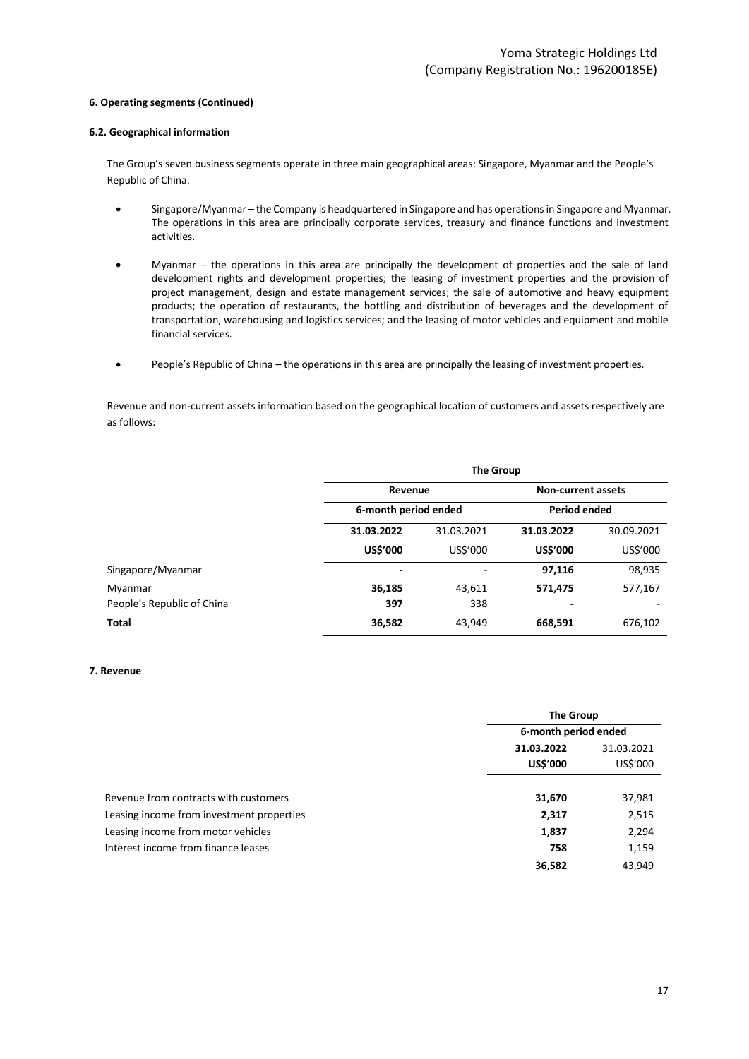### **6. Operating segments (Continued)**

### **6.2. Geographical information**

The Group's seven business segments operate in three main geographical areas: Singapore, Myanmar and the People's Republic of China.

- Singapore/Myanmar the Company is headquartered in Singapore and has operations in Singapore and Myanmar. The operations in this area are principally corporate services, treasury and finance functions and investment activities.
- Myanmar the operations in this area are principally the development of properties and the sale of land development rights and development properties; the leasing of investment properties and the provision of project management, design and estate management services; the sale of automotive and heavy equipment products; the operation of restaurants, the bottling and distribution of beverages and the development of transportation, warehousing and logistics services; and the leasing of motor vehicles and equipment and mobile financial services.
- People's Republic of China the operations in this area are principally the leasing of investment properties.

Revenue and non-current assets information based on the geographical location of customers and assets respectively are as follows:

| <b>The Group</b> |                           |                                 |            |  |  |
|------------------|---------------------------|---------------------------------|------------|--|--|
|                  | <b>Non-current assets</b> |                                 |            |  |  |
|                  |                           | <b>Period ended</b>             |            |  |  |
| 31.03.2022       | 31.03.2021                | 31.03.2022                      | 30.09.2021 |  |  |
| <b>US\$'000</b>  | US\$'000                  | US\$'000                        | US\$'000   |  |  |
|                  |                           | 97,116                          | 98,935     |  |  |
| 36,185           | 43,611                    | 571,475                         | 577,167    |  |  |
| 397              | 338                       |                                 |            |  |  |
| 36,582           | 43,949                    | 668,591                         | 676,102    |  |  |
|                  |                           | Revenue<br>6-month period ended |            |  |  |

#### **7. Revenue**

|                                           |                      | <b>The Group</b> |  |  |
|-------------------------------------------|----------------------|------------------|--|--|
|                                           | 6-month period ended |                  |  |  |
|                                           | 31.03.2022           | 31.03.2021       |  |  |
|                                           | <b>US\$'000</b>      | US\$'000         |  |  |
| Revenue from contracts with customers     | 31,670               | 37,981           |  |  |
| Leasing income from investment properties | 2,317                | 2,515            |  |  |
| Leasing income from motor vehicles        | 1,837                | 2,294            |  |  |
| Interest income from finance leases       | 758                  | 1,159            |  |  |
|                                           | 36,582               | 43,949           |  |  |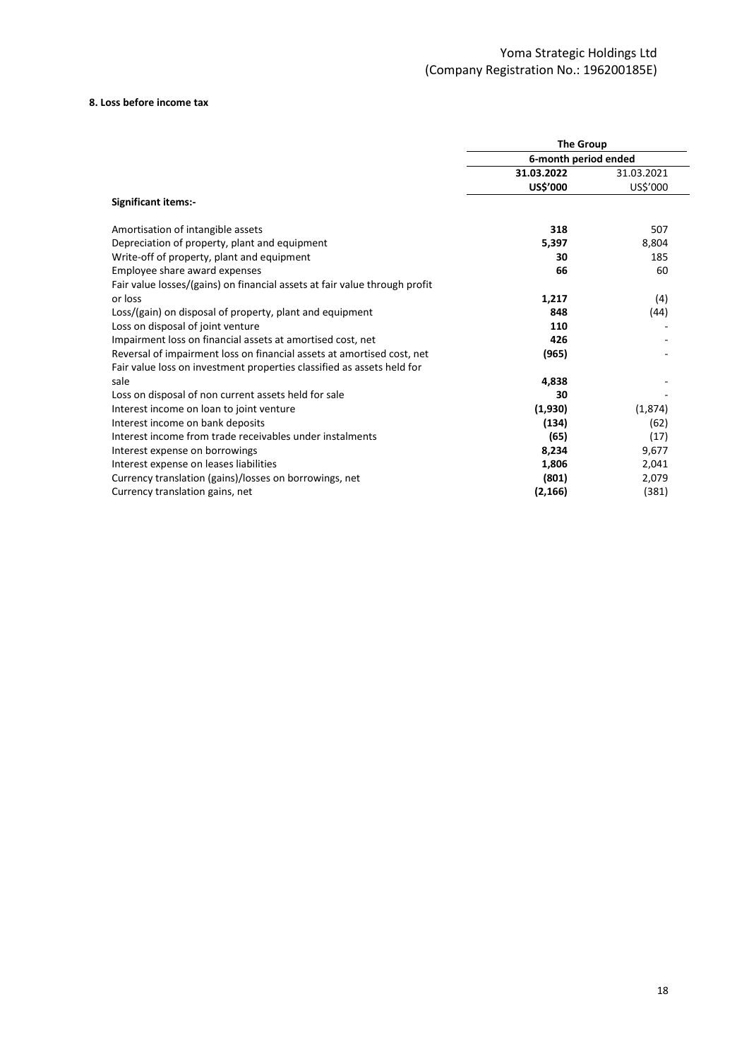#### **8. Loss before income tax**

|                                                                            | <b>The Group</b>     |            |  |
|----------------------------------------------------------------------------|----------------------|------------|--|
|                                                                            | 6-month period ended |            |  |
|                                                                            | 31.03.2022           | 31.03.2021 |  |
|                                                                            | <b>US\$'000</b>      | US\$'000   |  |
| <b>Significant items:-</b>                                                 |                      |            |  |
| Amortisation of intangible assets                                          | 318                  | 507        |  |
| Depreciation of property, plant and equipment                              | 5,397                | 8,804      |  |
| Write-off of property, plant and equipment                                 | 30                   | 185        |  |
| Employee share award expenses                                              | 66                   | 60         |  |
| Fair value losses/(gains) on financial assets at fair value through profit |                      |            |  |
| or loss                                                                    | 1,217                | (4)        |  |
| Loss/(gain) on disposal of property, plant and equipment                   | 848                  | (44)       |  |
| Loss on disposal of joint venture                                          | 110                  |            |  |
| Impairment loss on financial assets at amortised cost, net                 | 426                  |            |  |
| Reversal of impairment loss on financial assets at amortised cost, net     | (965)                |            |  |
| Fair value loss on investment properties classified as assets held for     |                      |            |  |
| sale                                                                       | 4,838                |            |  |
| Loss on disposal of non current assets held for sale                       | 30                   |            |  |
| Interest income on loan to joint venture                                   | (1,930)              | (1,874)    |  |
| Interest income on bank deposits                                           | (134)                | (62)       |  |
| Interest income from trade receivables under instalments                   | (65)                 | (17)       |  |
| Interest expense on borrowings                                             | 8,234                | 9,677      |  |
| Interest expense on leases liabilities                                     | 1,806                | 2,041      |  |
| Currency translation (gains)/losses on borrowings, net                     | (801)                | 2,079      |  |
| Currency translation gains, net                                            | (2, 166)             | (381)      |  |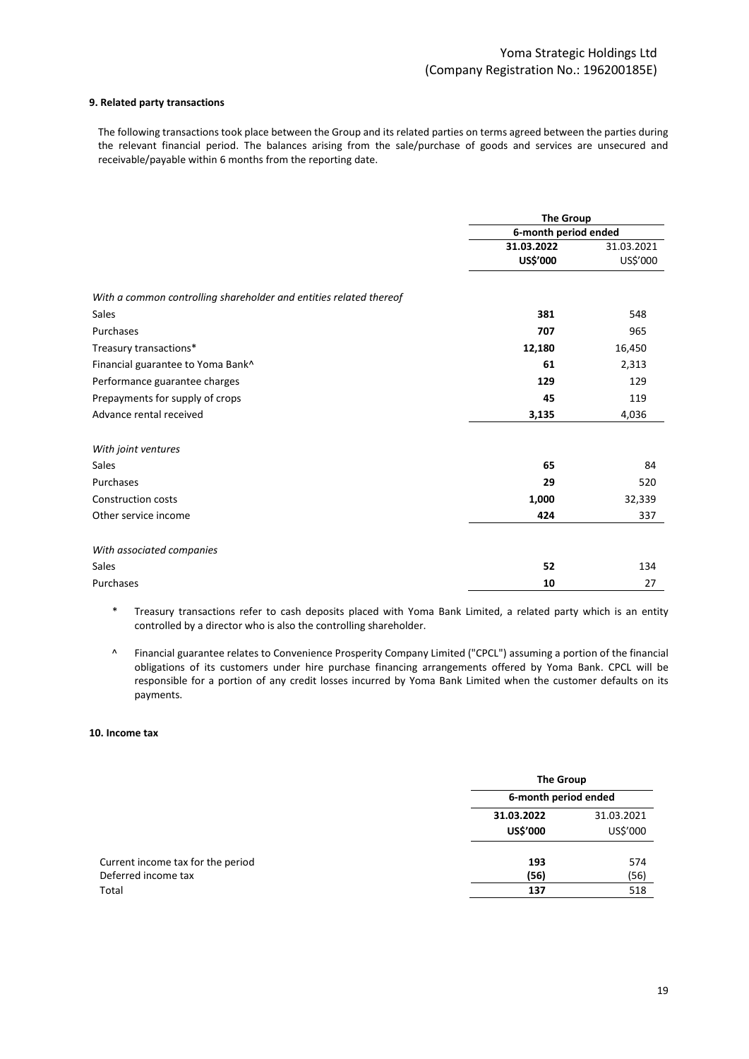### **9. Related party transactions**

The following transactions took place between the Group and its related parties on terms agreed between the parties during the relevant financial period. The balances arising from the sale/purchase of goods and services are unsecured and receivable/payable within 6 months from the reporting date.

|                                                                    | <b>The Group</b><br>6-month period ended |            |  |
|--------------------------------------------------------------------|------------------------------------------|------------|--|
|                                                                    |                                          |            |  |
|                                                                    | 31.03.2022                               | 31.03.2021 |  |
|                                                                    | US\$'000                                 | US\$'000   |  |
| With a common controlling shareholder and entities related thereof |                                          |            |  |
| <b>Sales</b>                                                       | 381                                      | 548        |  |
| Purchases                                                          | 707                                      | 965        |  |
| Treasury transactions*                                             | 12,180                                   | 16,450     |  |
| Financial guarantee to Yoma Bank^                                  | 61                                       | 2,313      |  |
| Performance guarantee charges                                      | 129                                      | 129        |  |
| Prepayments for supply of crops                                    | 45                                       | 119        |  |
| Advance rental received                                            | 3,135                                    | 4,036      |  |
| With joint ventures                                                |                                          |            |  |
| <b>Sales</b>                                                       | 65                                       | 84         |  |
| Purchases                                                          | 29                                       | 520        |  |
| <b>Construction costs</b>                                          | 1,000                                    | 32,339     |  |
| Other service income                                               | 424                                      | 337        |  |
| With associated companies                                          |                                          |            |  |
| Sales                                                              | 52                                       | 134        |  |
| Purchases                                                          | 10                                       | 27         |  |

 \* Treasury transactions refer to cash deposits placed with Yoma Bank Limited, a related party which is an entity controlled by a director who is also the controlling shareholder.

^ Financial guarantee relates to Convenience Prosperity Company Limited ("CPCL") assuming a portion of the financial obligations of its customers under hire purchase financing arrangements offered by Yoma Bank. CPCL will be responsible for a portion of any credit losses incurred by Yoma Bank Limited when the customer defaults on its payments.

#### **10. Income tax**

|                                   |                      | <b>The Group</b> |  |  |
|-----------------------------------|----------------------|------------------|--|--|
|                                   | 6-month period ended |                  |  |  |
|                                   | 31.03.2022           | 31.03.2021       |  |  |
|                                   | <b>US\$'000</b>      | US\$'000         |  |  |
| Current income tax for the period | 193                  | 574              |  |  |
| Deferred income tax               | (56)                 | (56)             |  |  |
| Total                             | 137                  | 518              |  |  |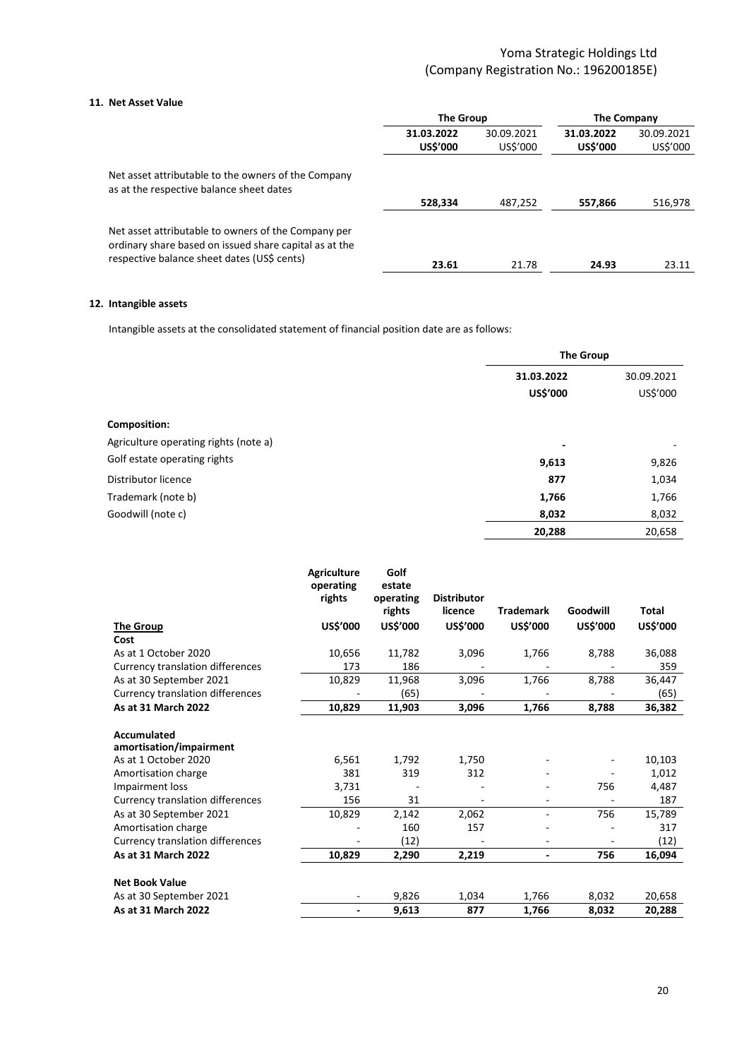### **11. Net Asset Value**

|                                                                                                                                                              | <b>The Group</b>              |                        | <b>The Company</b>            |                        |
|--------------------------------------------------------------------------------------------------------------------------------------------------------------|-------------------------------|------------------------|-------------------------------|------------------------|
|                                                                                                                                                              | 31.03.2022<br><b>US\$'000</b> | 30.09.2021<br>US\$'000 | 31.03.2022<br><b>US\$'000</b> | 30.09.2021<br>US\$'000 |
| Net asset attributable to the owners of the Company<br>as at the respective balance sheet dates                                                              |                               |                        |                               |                        |
|                                                                                                                                                              | 528,334                       | 487,252                | 557,866                       | 516,978                |
| Net asset attributable to owners of the Company per<br>ordinary share based on issued share capital as at the<br>respective balance sheet dates (US\$ cents) | 23.61                         | 21.78                  | 24.93                         | 23.11                  |
|                                                                                                                                                              |                               |                        |                               |                        |

### **12. Intangible assets**

Intangible assets at the consolidated statement of financial position date are as follows:

|                                       | <b>The Group</b> |                          |  |
|---------------------------------------|------------------|--------------------------|--|
|                                       | 31.03.2022       | 30.09.2021               |  |
|                                       | <b>US\$'000</b>  | US\$'000                 |  |
| Composition:                          |                  |                          |  |
| Agriculture operating rights (note a) | ٠                | $\overline{\phantom{a}}$ |  |
| Golf estate operating rights          | 9,613            | 9,826                    |  |
| Distributor licence                   | 877              | 1,034                    |  |
| Trademark (note b)                    | 1,766            | 1,766                    |  |
| Goodwill (note c)                     | 8,032            | 8,032                    |  |
|                                       | 20,288           | 20,658                   |  |

|                                         | <b>Agriculture</b><br>operating<br>rights | Golf<br>estate<br>operating<br>rights | <b>Distributor</b><br>licence | <b>Trademark</b>         | Goodwill        | Total           |
|-----------------------------------------|-------------------------------------------|---------------------------------------|-------------------------------|--------------------------|-----------------|-----------------|
| <b>The Group</b>                        | US\$'000                                  | <b>US\$'000</b>                       | <b>US\$'000</b>               | <b>US\$'000</b>          | <b>US\$'000</b> | <b>US\$'000</b> |
| Cost                                    |                                           |                                       |                               |                          |                 |                 |
| As at 1 October 2020                    | 10,656                                    | 11,782                                | 3,096                         | 1,766                    | 8,788           | 36,088          |
| <b>Currency translation differences</b> | 173                                       | 186                                   |                               |                          |                 | 359             |
| As at 30 September 2021                 | 10,829                                    | 11,968                                | 3,096                         | 1,766                    | 8,788           | 36,447          |
| <b>Currency translation differences</b> |                                           | (65)                                  |                               |                          |                 | (65)            |
| As at 31 March 2022                     | 10,829                                    | 11,903                                | 3,096                         | 1,766                    | 8,788           | 36,382          |
| Accumulated<br>amortisation/impairment  |                                           |                                       |                               |                          |                 |                 |
| As at 1 October 2020                    | 6,561                                     | 1,792                                 | 1,750                         |                          |                 | 10,103          |
| Amortisation charge                     | 381                                       | 319                                   | 312                           |                          |                 | 1,012           |
| Impairment loss                         | 3,731                                     |                                       |                               |                          | 756             | 4,487           |
| <b>Currency translation differences</b> | 156                                       | 31                                    |                               |                          |                 | 187             |
| As at 30 September 2021                 | 10,829                                    | 2,142                                 | 2,062                         | ÷.                       | 756             | 15,789          |
| Amortisation charge                     |                                           | 160                                   | 157                           |                          |                 | 317             |
| <b>Currency translation differences</b> |                                           | (12)                                  |                               |                          |                 | (12)            |
| As at 31 March 2022                     | 10,829                                    | 2,290                                 | 2,219                         | $\overline{\phantom{0}}$ | 756             | 16,094          |
| <b>Net Book Value</b>                   |                                           |                                       |                               |                          |                 |                 |
| As at 30 September 2021                 | $\overline{\phantom{a}}$                  | 9,826                                 | 1,034                         | 1,766                    | 8,032           | 20,658          |
| As at 31 March 2022                     | ٠                                         | 9,613                                 | 877                           | 1,766                    | 8,032           | 20,288          |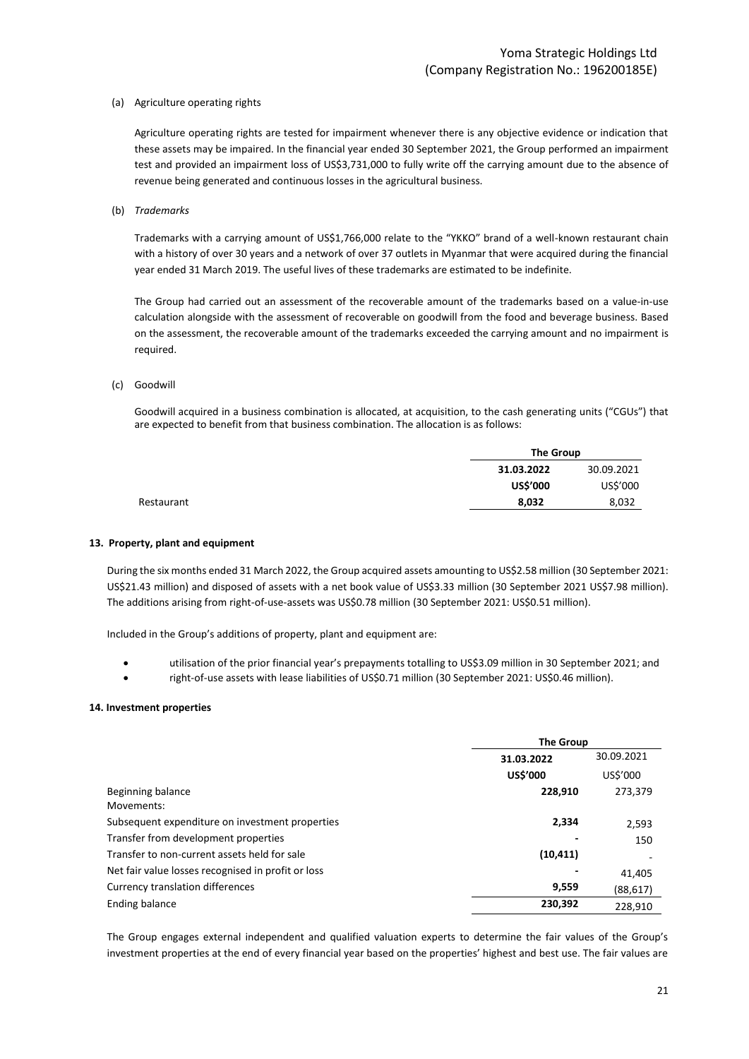(a) Agriculture operating rights

Agriculture operating rights are tested for impairment whenever there is any objective evidence or indication that these assets may be impaired. In the financial year ended 30 September 2021, the Group performed an impairment test and provided an impairment loss of US\$3,731,000 to fully write off the carrying amount due to the absence of revenue being generated and continuous losses in the agricultural business.

(b) *Trademarks*

Trademarks with a carrying amount of US\$1,766,000 relate to the "YKKO" brand of a well-known restaurant chain with a history of over 30 years and a network of over 37 outlets in Myanmar that were acquired during the financial year ended 31 March 2019. The useful lives of these trademarks are estimated to be indefinite.

The Group had carried out an assessment of the recoverable amount of the trademarks based on a value-in-use calculation alongside with the assessment of recoverable on goodwill from the food and beverage business. Based on the assessment, the recoverable amount of the trademarks exceeded the carrying amount and no impairment is required.

#### (c) Goodwill

Goodwill acquired in a business combination is allocated, at acquisition, to the cash generating units ("CGUs") that are expected to benefit from that business combination. The allocation is as follows:

| <b>The Group</b> |            |
|------------------|------------|
| 31.03.2022       | 30.09.2021 |
| <b>US\$'000</b>  | US\$'000   |
| 8,032            | 8,032      |

#### **13. Property, plant and equipment**

During the six months ended 31 March 2022, the Group acquired assets amounting to US\$2.58 million (30 September 2021: US\$21.43 million) and disposed of assets with a net book value of US\$3.33 million (30 September 2021 US\$7.98 million). The additions arising from right-of-use-assets was US\$0.78 million (30 September 2021: US\$0.51 million).

Included in the Group's additions of property, plant and equipment are:

- utilisation of the prior financial year's prepayments totalling to US\$3.09 million in 30 September 2021; and
- right-of-use assets with lease liabilities of US\$0.71 million (30 September 2021: US\$0.46 million).

#### **14. Investment properties**

|                                                    | <b>The Group</b>         |           |
|----------------------------------------------------|--------------------------|-----------|
|                                                    | 30.09.2021<br>31.03.2022 |           |
|                                                    | US\$'000                 | US\$'000  |
| Beginning balance<br>Movements:                    | 228,910                  | 273,379   |
| Subsequent expenditure on investment properties    | 2,334                    | 2,593     |
| Transfer from development properties               |                          | 150       |
| Transfer to non-current assets held for sale       | (10, 411)                |           |
| Net fair value losses recognised in profit or loss |                          | 41.405    |
| Currency translation differences                   | 9,559                    | (88, 617) |
| Ending balance                                     | 230,392                  | 228,910   |

The Group engages external independent and qualified valuation experts to determine the fair values of the Group's investment properties at the end of every financial year based on the properties' highest and best use. The fair values are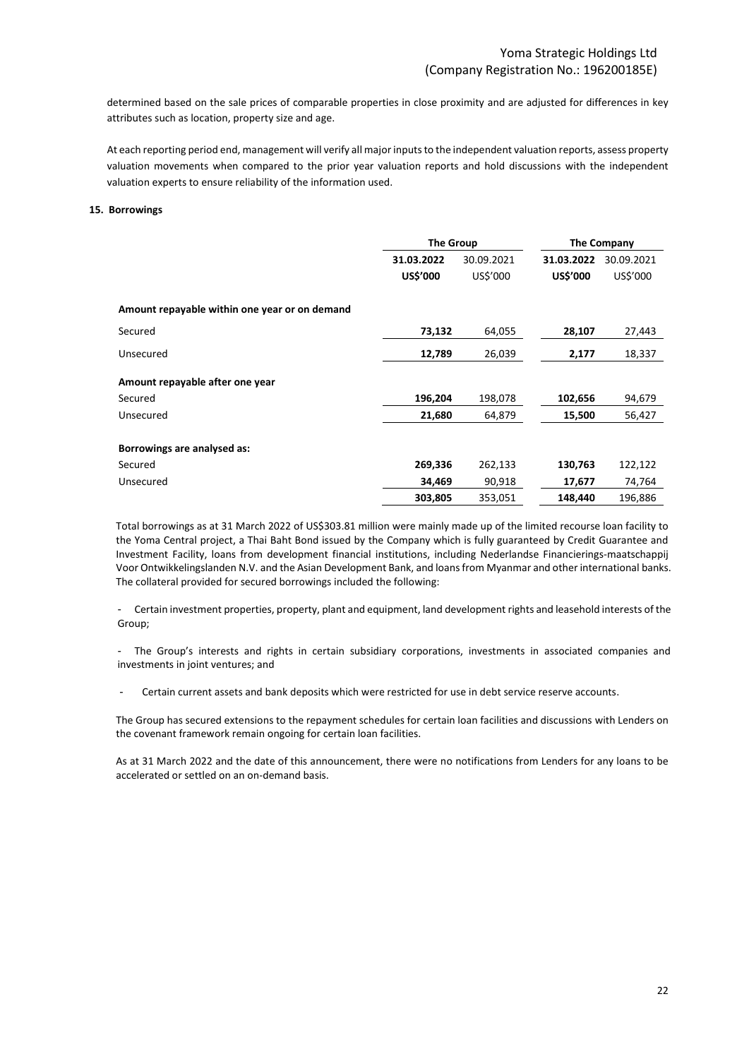determined based on the sale prices of comparable properties in close proximity and are adjusted for differences in key attributes such as location, property size and age.

At each reporting period end, management will verify all major inputs to the independent valuation reports, assess property valuation movements when compared to the prior year valuation reports and hold discussions with the independent valuation experts to ensure reliability of the information used.

#### **15. Borrowings**

|                                               | <b>The Group</b> |            | The Company     |            |
|-----------------------------------------------|------------------|------------|-----------------|------------|
|                                               | 31.03.2022       | 30.09.2021 | 31.03.2022      | 30.09.2021 |
|                                               | US\$'000         | US\$'000   | <b>US\$'000</b> | US\$'000   |
| Amount repayable within one year or on demand |                  |            |                 |            |
| Secured                                       | 73,132           | 64,055     | 28,107          | 27,443     |
| Unsecured                                     | 12,789           | 26,039     | 2,177           | 18,337     |
| Amount repayable after one year               |                  |            |                 |            |
| Secured                                       | 196,204          | 198,078    | 102,656         | 94,679     |
| Unsecured                                     | 21,680           | 64,879     | 15,500          | 56,427     |
| Borrowings are analysed as:                   |                  |            |                 |            |
| Secured                                       | 269,336          | 262,133    | 130,763         | 122,122    |
| Unsecured                                     | 34,469           | 90,918     | 17,677          | 74,764     |
|                                               | 303,805          | 353,051    | 148,440         | 196,886    |

Total borrowings as at 31 March 2022 of US\$303.81 million were mainly made up of the limited recourse loan facility to the Yoma Central project, a Thai Baht Bond issued by the Company which is fully guaranteed by Credit Guarantee and Investment Facility, loans from development financial institutions, including Nederlandse Financierings-maatschappij Voor Ontwikkelingslanden N.V. and the Asian Development Bank, and loans from Myanmar and other international banks. The collateral provided for secured borrowings included the following:

- Certain investment properties, property, plant and equipment, land development rights and leasehold interests of the Group;

- The Group's interests and rights in certain subsidiary corporations, investments in associated companies and investments in joint ventures; and

Certain current assets and bank deposits which were restricted for use in debt service reserve accounts.

The Group has secured extensions to the repayment schedules for certain loan facilities and discussions with Lenders on the covenant framework remain ongoing for certain loan facilities.

As at 31 March 2022 and the date of this announcement, there were no notifications from Lenders for any loans to be accelerated or settled on an on-demand basis.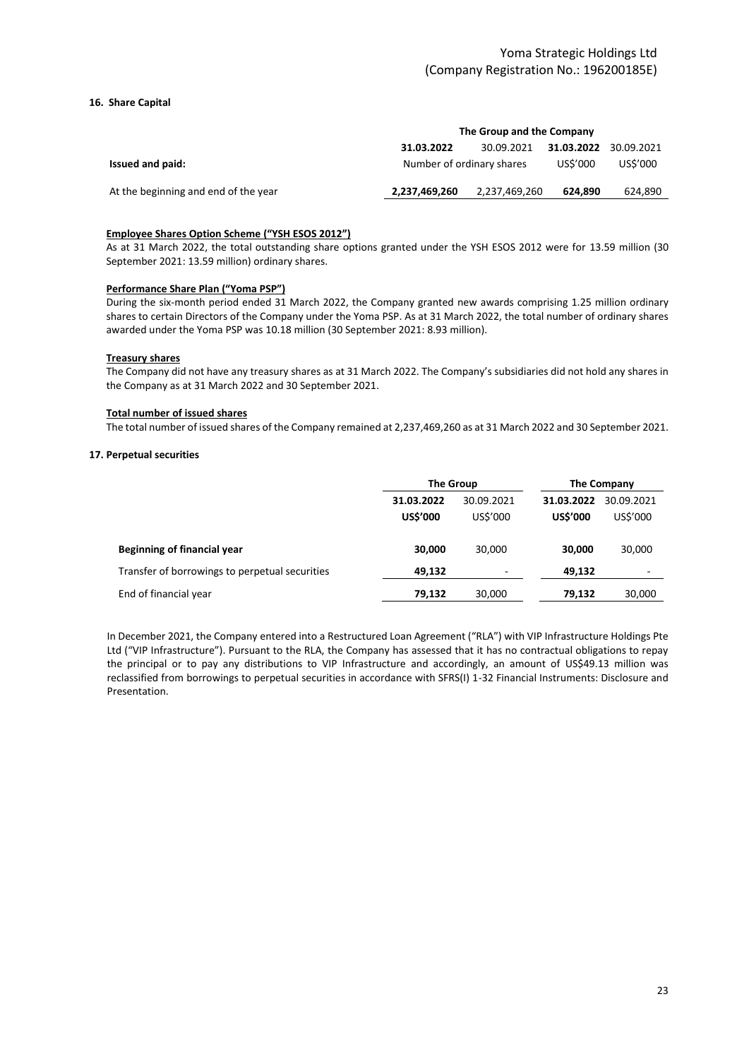### **16. Share Capital**

|                                      | The Group and the Company |               |            |            |
|--------------------------------------|---------------------------|---------------|------------|------------|
|                                      | 31.03.2022                | 30.09.2021    | 31.03.2022 | 30.09.2021 |
| Issued and paid:                     | Number of ordinary shares |               | US\$'000   | US\$'000   |
| At the beginning and end of the year | 2,237,469,260             | 2,237,469,260 | 624.890    | 624,890    |
|                                      |                           |               |            |            |

#### **Employee Shares Option Scheme ("YSH ESOS 2012")**

As at 31 March 2022, the total outstanding share options granted under the YSH ESOS 2012 were for 13.59 million (30 September 2021: 13.59 million) ordinary shares.

#### **Performance Share Plan ("Yoma PSP")**

During the six-month period ended 31 March 2022, the Company granted new awards comprising 1.25 million ordinary shares to certain Directors of the Company under the Yoma PSP. As at 31 March 2022, the total number of ordinary shares awarded under the Yoma PSP was 10.18 million (30 September 2021: 8.93 million).

#### **Treasury shares**

The Company did not have any treasury shares as at 31 March 2022. The Company's subsidiaries did not hold any shares in the Company as at 31 March 2022 and 30 September 2021.

#### **Total number of issued shares**

The total number of issued shares of the Company remained at 2,237,469,260 as at 31 March 2022 and 30 September 2021.

#### **17. Perpetual securities**

|                                                | <b>The Group</b>              |                        | The Company                   |                        |
|------------------------------------------------|-------------------------------|------------------------|-------------------------------|------------------------|
|                                                | 31.03.2022<br><b>US\$'000</b> | 30.09.2021<br>US\$'000 | 31.03.2022<br><b>US\$'000</b> | 30.09.2021<br>US\$'000 |
| Beginning of financial year                    | 30.000                        | 30.000                 | 30.000                        | 30,000                 |
| Transfer of borrowings to perpetual securities | 49.132                        | -                      | 49.132                        | -                      |
| End of financial year                          | 79.132                        | 30,000                 | 79.132                        | 30,000                 |

In December 2021, the Company entered into a Restructured Loan Agreement ("RLA") with VIP Infrastructure Holdings Pte Ltd ("VIP Infrastructure"). Pursuant to the RLA, the Company has assessed that it has no contractual obligations to repay the principal or to pay any distributions to VIP Infrastructure and accordingly, an amount of US\$49.13 million was reclassified from borrowings to perpetual securities in accordance with SFRS(I) 1-32 Financial Instruments: Disclosure and Presentation.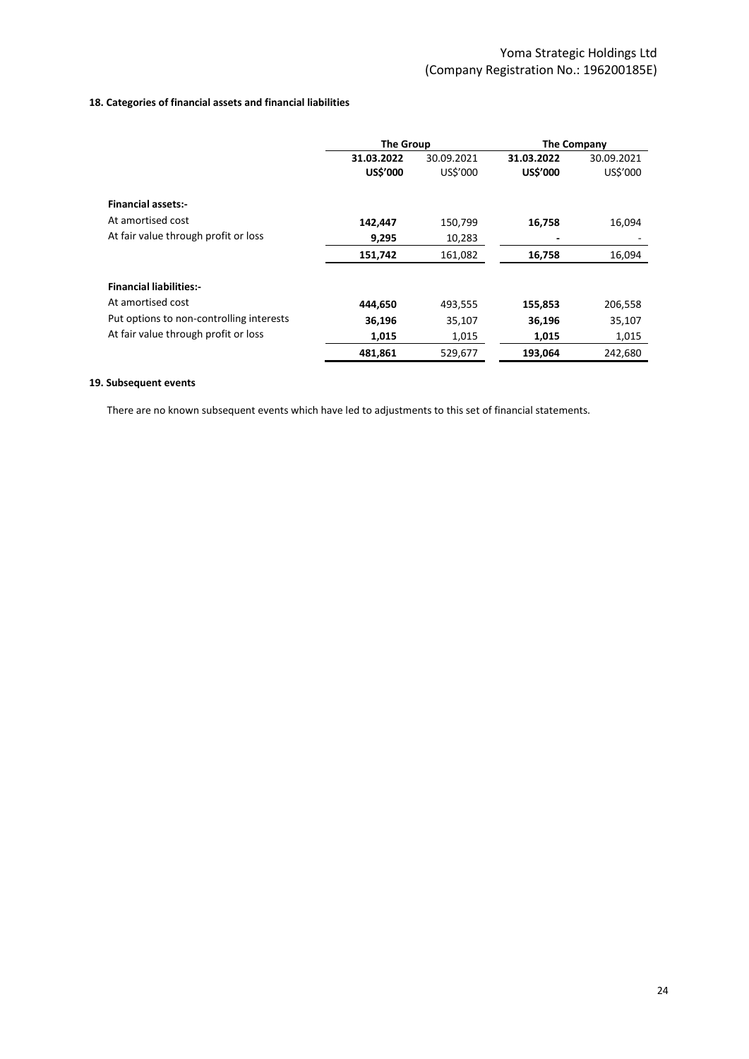### **18. Categories of financial assets and financial liabilities**

|                                          | <b>The Group</b>              |                        | The Company                   |                        |
|------------------------------------------|-------------------------------|------------------------|-------------------------------|------------------------|
|                                          | 31.03.2022<br><b>US\$'000</b> | 30.09.2021<br>US\$'000 | 31.03.2022<br><b>US\$'000</b> | 30.09.2021<br>US\$'000 |
| <b>Financial assets:-</b>                |                               |                        |                               |                        |
| At amortised cost                        | 142,447                       | 150,799                | 16,758                        | 16,094                 |
| At fair value through profit or loss     | 9,295                         | 10,283                 | ٠                             |                        |
|                                          | 151,742                       | 161,082                | 16,758                        | 16,094                 |
| <b>Financial liabilities:-</b>           |                               |                        |                               |                        |
| At amortised cost                        | 444.650                       | 493,555                | 155,853                       | 206,558                |
| Put options to non-controlling interests | 36,196                        | 35,107                 | 36,196                        | 35,107                 |
| At fair value through profit or loss     | 1,015                         | 1,015                  | 1,015                         | 1,015                  |
|                                          | 481,861                       | 529,677                | 193,064                       | 242,680                |

## **19. Subsequent events**

There are no known subsequent events which have led to adjustments to this set of financial statements.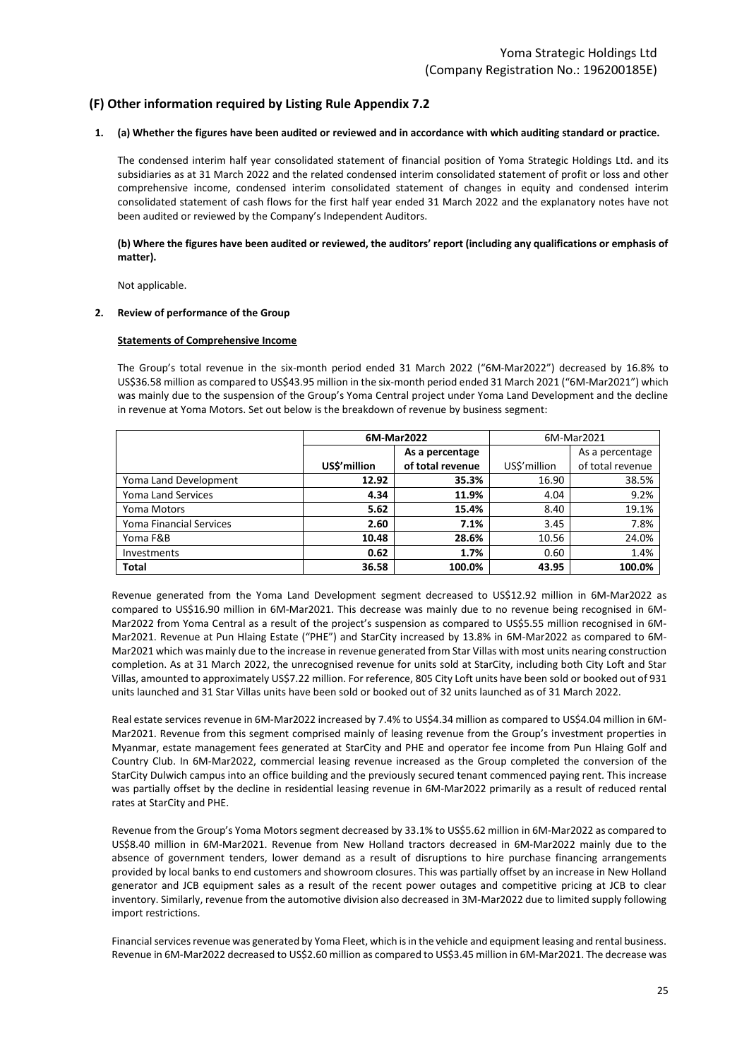## **(F) Other information required by Listing Rule Appendix 7.2**

#### **1. (a) Whether the figures have been audited or reviewed and in accordance with which auditing standard or practice.**

The condensed interim half year consolidated statement of financial position of Yoma Strategic Holdings Ltd. and its subsidiaries as at 31 March 2022 and the related condensed interim consolidated statement of profit or loss and other comprehensive income, condensed interim consolidated statement of changes in equity and condensed interim consolidated statement of cash flows for the first half year ended 31 March 2022 and the explanatory notes have not been audited or reviewed by the Company's Independent Auditors.

#### **(b) Where the figures have been audited or reviewed, the auditors' report (including any qualifications or emphasis of matter).**

Not applicable.

#### **2. Review of performance of the Group**

#### **Statements of Comprehensive Income**

The Group's total revenue in the six-month period ended 31 March 2022 ("6M-Mar2022") decreased by 16.8% to US\$36.58 million as compared to US\$43.95 million in the six-month period ended 31 March 2021 ("6M-Mar2021") which was mainly due to the suspension of the Group's Yoma Central project under Yoma Land Development and the decline in revenue at Yoma Motors. Set out below is the breakdown of revenue by business segment:

|                           |             | 6M-Mar2022       | 6M-Mar2021  |                  |
|---------------------------|-------------|------------------|-------------|------------------|
|                           |             | As a percentage  |             | As a percentage  |
|                           | USS'million | of total revenue | USS'million | of total revenue |
| Yoma Land Development     | 12.92       | 35.3%            | 16.90       | 38.5%            |
| <b>Yoma Land Services</b> | 4.34        | 11.9%            | 4.04        | 9.2%             |
| Yoma Motors               | 5.62        | 15.4%            | 8.40        | 19.1%            |
| Yoma Financial Services   | 2.60        | 7.1%             | 3.45        | 7.8%             |
| Yoma F&B                  | 10.48       | 28.6%            | 10.56       | 24.0%            |
| <b>Investments</b>        | 0.62        | 1.7%             | 0.60        | 1.4%             |
| <b>Total</b>              | 36.58       | 100.0%           | 43.95       | 100.0%           |

Revenue generated from the Yoma Land Development segment decreased to US\$12.92 million in 6M-Mar2022 as compared to US\$16.90 million in 6M-Mar2021. This decrease was mainly due to no revenue being recognised in 6M-Mar2022 from Yoma Central as a result of the project's suspension as compared to US\$5.55 million recognised in 6M-Mar2021. Revenue at Pun Hlaing Estate ("PHE") and StarCity increased by 13.8% in 6M-Mar2022 as compared to 6M-Mar2021 which was mainly due to the increase in revenue generated from Star Villas with most units nearing construction completion. As at 31 March 2022, the unrecognised revenue for units sold at StarCity, including both City Loft and Star Villas, amounted to approximately US\$7.22 million. For reference, 805 City Loft units have been sold or booked out of 931 units launched and 31 Star Villas units have been sold or booked out of 32 units launched as of 31 March 2022.

Real estate services revenue in 6M-Mar2022 increased by 7.4% to US\$4.34 million as compared to US\$4.04 million in 6M-Mar2021. Revenue from this segment comprised mainly of leasing revenue from the Group's investment properties in Myanmar, estate management fees generated at StarCity and PHE and operator fee income from Pun Hlaing Golf and Country Club. In 6M-Mar2022, commercial leasing revenue increased as the Group completed the conversion of the StarCity Dulwich campus into an office building and the previously secured tenant commenced paying rent. This increase was partially offset by the decline in residential leasing revenue in 6M-Mar2022 primarily as a result of reduced rental rates at StarCity and PHE.

Revenue from the Group's Yoma Motors segment decreased by 33.1% to US\$5.62 million in 6M-Mar2022 as compared to US\$8.40 million in 6M-Mar2021. Revenue from New Holland tractors decreased in 6M-Mar2022 mainly due to the absence of government tenders, lower demand as a result of disruptions to hire purchase financing arrangements provided by local banks to end customers and showroom closures. This was partially offset by an increase in New Holland generator and JCB equipment sales as a result of the recent power outages and competitive pricing at JCB to clear inventory. Similarly, revenue from the automotive division also decreased in 3M-Mar2022 due to limited supply following import restrictions.

Financial services revenue was generated by Yoma Fleet, which is in the vehicle and equipment leasing and rental business. Revenue in 6M-Mar2022 decreased to US\$2.60 million as compared to US\$3.45 million in 6M-Mar2021. The decrease was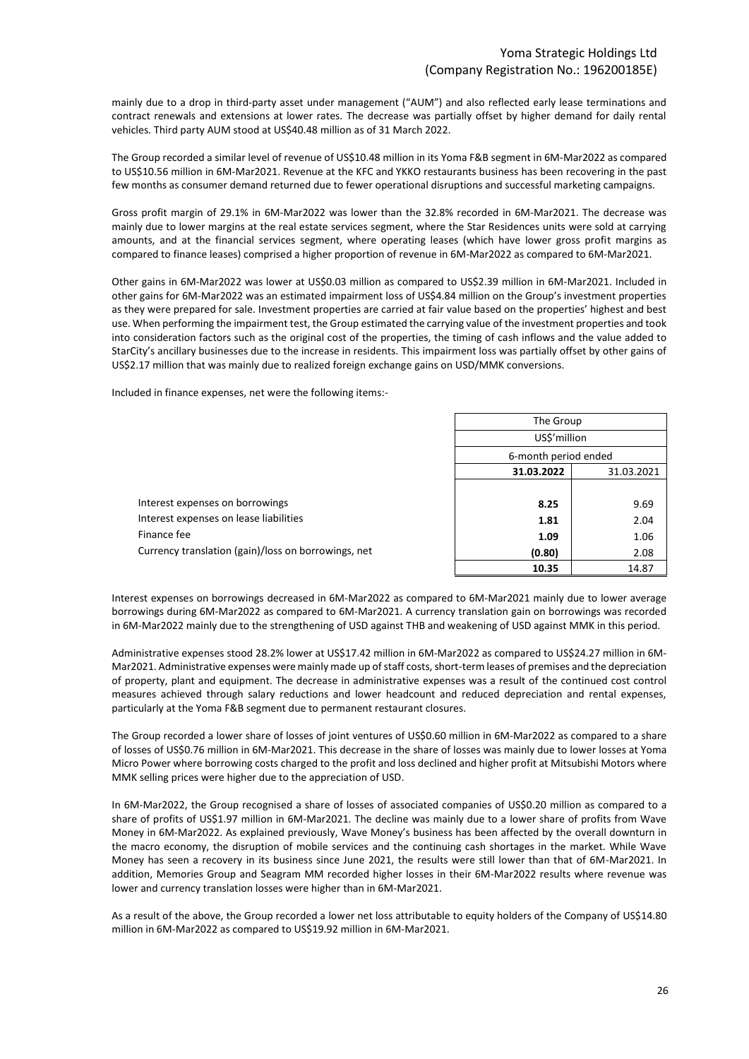mainly due to a drop in third-party asset under management ("AUM") and also reflected early lease terminations and contract renewals and extensions at lower rates. The decrease was partially offset by higher demand for daily rental vehicles. Third party AUM stood at US\$40.48 million as of 31 March 2022.

The Group recorded a similar level of revenue of US\$10.48 million in its Yoma F&B segment in 6M-Mar2022 as compared to US\$10.56 million in 6M-Mar2021. Revenue at the KFC and YKKO restaurants business has been recovering in the past few months as consumer demand returned due to fewer operational disruptions and successful marketing campaigns.

Gross profit margin of 29.1% in 6M-Mar2022 was lower than the 32.8% recorded in 6M-Mar2021. The decrease was mainly due to lower margins at the real estate services segment, where the Star Residences units were sold at carrying amounts, and at the financial services segment, where operating leases (which have lower gross profit margins as compared to finance leases) comprised a higher proportion of revenue in 6M-Mar2022 as compared to 6M-Mar2021.

Other gains in 6M-Mar2022 was lower at US\$0.03 million as compared to US\$2.39 million in 6M-Mar2021. Included in other gains for 6M-Mar2022 was an estimated impairment loss of US\$4.84 million on the Group's investment properties as they were prepared for sale. Investment properties are carried at fair value based on the properties' highest and best use. When performing the impairment test, the Group estimated the carrying value of the investment properties and took into consideration factors such as the original cost of the properties, the timing of cash inflows and the value added to StarCity's ancillary businesses due to the increase in residents. This impairment loss was partially offset by other gains of US\$2.17 million that was mainly due to realized foreign exchange gains on USD/MMK conversions.

Included in finance expenses, net were the following items:-

|                                                     |                          | The Group    |  |
|-----------------------------------------------------|--------------------------|--------------|--|
|                                                     |                          | US\$'million |  |
|                                                     | 6-month period ended     |              |  |
|                                                     | 31.03.2022<br>31.03.2021 |              |  |
|                                                     |                          |              |  |
| Interest expenses on borrowings                     | 8.25                     | 9.69         |  |
| Interest expenses on lease liabilities              | 1.81                     | 2.04         |  |
| Finance fee                                         | 1.09                     | 1.06         |  |
| Currency translation (gain)/loss on borrowings, net | (0.80)                   | 2.08         |  |
|                                                     | 10.35                    | 14.87        |  |

Interest expenses on borrowings decreased in 6M-Mar2022 as compared to 6M-Mar2021 mainly due to lower average borrowings during 6M-Mar2022 as compared to 6M-Mar2021. A currency translation gain on borrowings was recorded in 6M-Mar2022 mainly due to the strengthening of USD against THB and weakening of USD against MMK in this period.

Administrative expenses stood 28.2% lower at US\$17.42 million in 6M-Mar2022 as compared to US\$24.27 million in 6M-Mar2021. Administrative expenses were mainly made up of staff costs, short-term leases of premises and the depreciation of property, plant and equipment. The decrease in administrative expenses was a result of the continued cost control measures achieved through salary reductions and lower headcount and reduced depreciation and rental expenses, particularly at the Yoma F&B segment due to permanent restaurant closures.

The Group recorded a lower share of losses of joint ventures of US\$0.60 million in 6M-Mar2022 as compared to a share of losses of US\$0.76 million in 6M-Mar2021. This decrease in the share of losses was mainly due to lower losses at Yoma Micro Power where borrowing costs charged to the profit and loss declined and higher profit at Mitsubishi Motors where MMK selling prices were higher due to the appreciation of USD.

In 6M-Mar2022, the Group recognised a share of losses of associated companies of US\$0.20 million as compared to a share of profits of US\$1.97 million in 6M-Mar2021. The decline was mainly due to a lower share of profits from Wave Money in 6M-Mar2022. As explained previously, Wave Money's business has been affected by the overall downturn in the macro economy, the disruption of mobile services and the continuing cash shortages in the market. While Wave Money has seen a recovery in its business since June 2021, the results were still lower than that of 6M-Mar2021. In addition, Memories Group and Seagram MM recorded higher losses in their 6M-Mar2022 results where revenue was lower and currency translation losses were higher than in 6M-Mar2021.

As a result of the above, the Group recorded a lower net loss attributable to equity holders of the Company of US\$14.80 million in 6M-Mar2022 as compared to US\$19.92 million in 6M-Mar2021.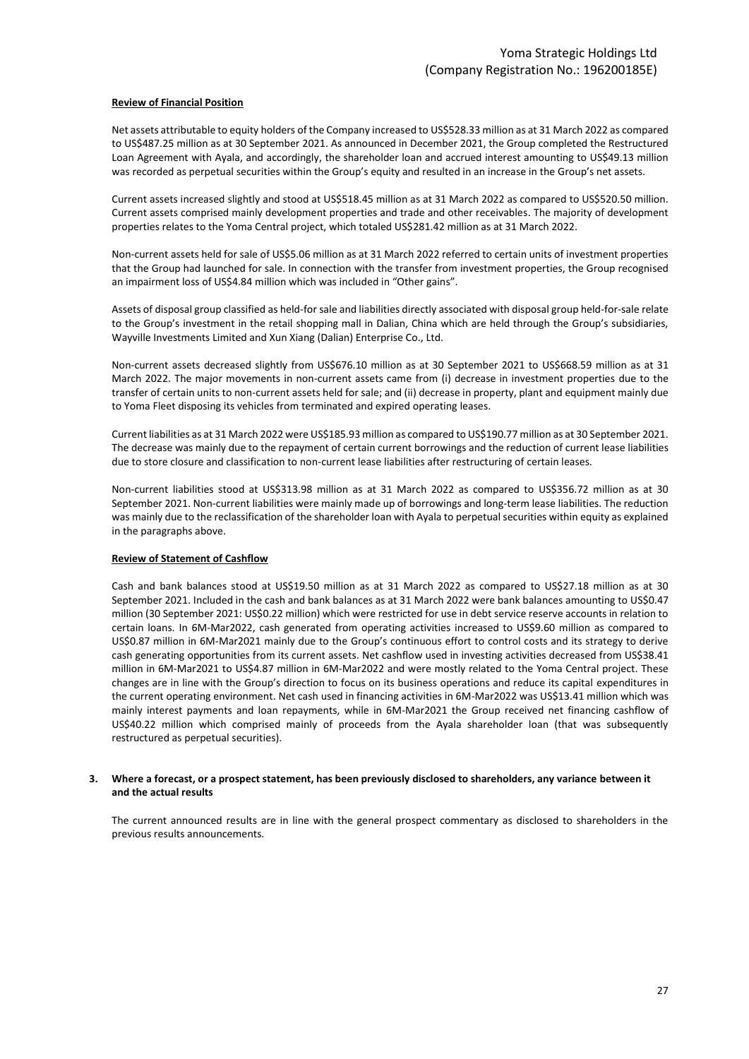#### **Review of Financial Position**

Net assets attributable to equity holders of the Company increased to US\$528.33 million as at 31 March 2022 as compared to US\$487.25 million as at 30 September 2021. As announced in December 2021, the Group completed the Restructured Loan Agreement with Ayala, and accordingly, the shareholder loan and accrued interest amounting to US\$49.13 million was recorded as perpetual securities within the Group's equity and resulted in an increase in the Group's net assets.

Current assets increased slightly and stood at US\$518.45 million as at 31 March 2022 as compared to US\$520.50 million. Current assets comprised mainly development properties and trade and other receivables. The majority of development properties relates to the Yoma Central project, which totaled US\$281.42 million as at 31 March 2022.

Non-current assets held for sale of US\$5.06 million as at 31 March 2022 referred to certain units of investment properties that the Group had launched for sale. In connection with the transfer from investment properties, the Group recognised an impairment loss of US\$4.84 million which was included in "Other gains".

Assets of disposal group classified as held-for sale and liabilities directly associated with disposal group held-for-sale relate to the Group's investment in the retail shopping mall in Dalian, China which are held through the Group's subsidiaries, Wayville Investments Limited and Xun Xiang (Dalian) Enterprise Co., Ltd.

Non-current assets decreased slightly from US\$676.10 million as at 30 September 2021 to US\$668.59 million as at 31 March 2022. The major movements in non-current assets came from (i) decrease in investment properties due to the transfer of certain units to non-current assets held for sale; and (ii) decrease in property, plant and equipment mainly due to Yoma Fleet disposing its vehicles from terminated and expired operating leases.

Current liabilities as at 31 March 2022 were US\$185.93 million as compared to US\$190.77 million as at 30 September 2021. The decrease was mainly due to the repayment of certain current borrowings and the reduction of current lease liabilities due to store closure and classification to non-current lease liabilities after restructuring of certain leases.

Non-current liabilities stood at US\$313.98 million as at 31 March 2022 as compared to US\$356.72 million as at 30 September 2021. Non-current liabilities were mainly made up of borrowings and long-term lease liabilities. The reduction was mainly due to the reclassification of the shareholder loan with Ayala to perpetual securities within equity as explained in the paragraphs above.

#### **Review of Statement of Cashflow**

Cash and bank balances stood at US\$19.50 million as at 31 March 2022 as compared to US\$27.18 million as at 30 September 2021. Included in the cash and bank balances as at 31 March 2022 were bank balances amounting to US\$0.47 million (30 September 2021: US\$0.22 million) which were restricted for use in debt service reserve accounts in relation to certain loans. In 6M-Mar2022, cash generated from operating activities increased to US\$9.60 million as compared to US\$0.87 million in 6M-Mar2021 mainly due to the Group's continuous effort to control costs and its strategy to derive cash generating opportunities from its current assets. Net cashflow used in investing activities decreased from US\$38.41 million in 6M-Mar2021 to US\$4.87 million in 6M-Mar2022 and were mostly related to the Yoma Central project. These changes are in line with the Group's direction to focus on its business operations and reduce its capital expenditures in the current operating environment. Net cash used in financing activities in 6M-Mar2022 was US\$13.41 million which was mainly interest payments and loan repayments, while in 6M-Mar2021 the Group received net financing cashflow of US\$40.22 million which comprised mainly of proceeds from the Ayala shareholder loan (that was subsequently restructured as perpetual securities).

#### **3. Where a forecast, or a prospect statement, has been previously disclosed to shareholders, any variance between it and the actual results**

The current announced results are in line with the general prospect commentary as disclosed to shareholders in the previous results announcements.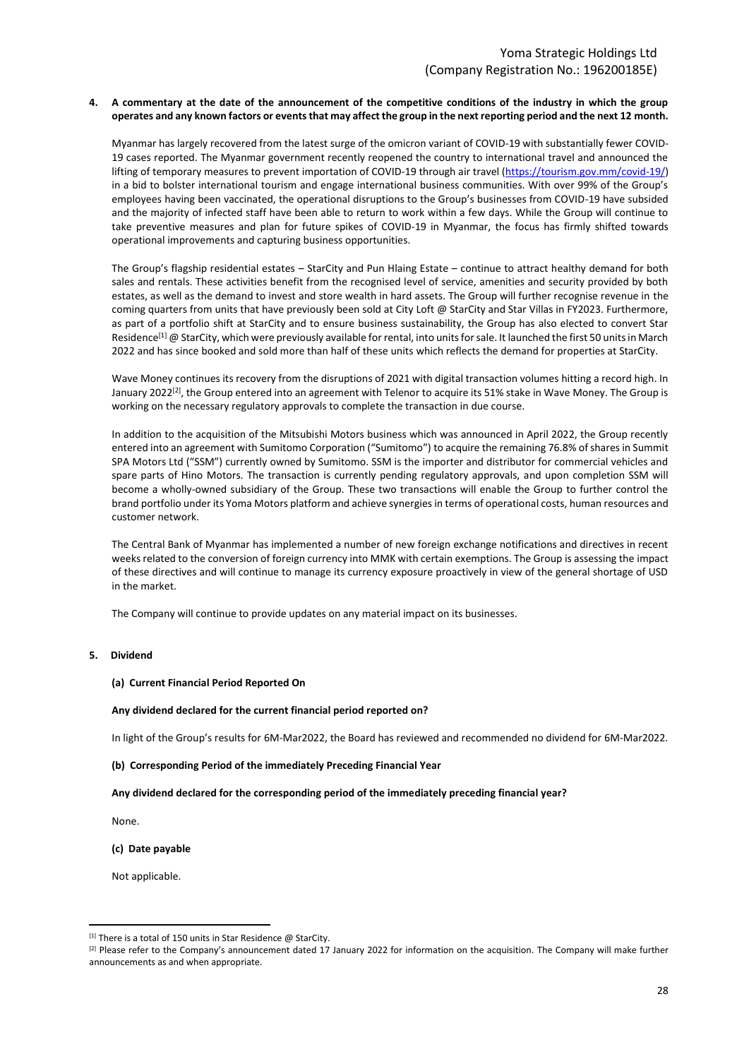#### **4. A commentary at the date of the announcement of the competitive conditions of the industry in which the group operates and any known factors or events that may affect the group in the next reporting period and the next 12 month.**

Myanmar has largely recovered from the latest surge of the omicron variant of COVID-19 with substantially fewer COVID-19 cases reported. The Myanmar government recently reopened the country to international travel and announced the lifting of temporary measures to prevent importation of COVID-19 through air travel [\(https://tourism.gov.mm/covid-19/\)](https://tourism.gov.mm/covid-19/) in a bid to bolster international tourism and engage international business communities. With over 99% of the Group's employees having been vaccinated, the operational disruptions to the Group's businesses from COVID-19 have subsided and the majority of infected staff have been able to return to work within a few days. While the Group will continue to take preventive measures and plan for future spikes of COVID-19 in Myanmar, the focus has firmly shifted towards operational improvements and capturing business opportunities.

The Group's flagship residential estates – StarCity and Pun Hlaing Estate – continue to attract healthy demand for both sales and rentals. These activities benefit from the recognised level of service, amenities and security provided by both estates, as well as the demand to invest and store wealth in hard assets. The Group will further recognise revenue in the coming quarters from units that have previously been sold at City Loft @ StarCity and Star Villas in FY2023. Furthermore, as part of a portfolio shift at StarCity and to ensure business sustainability, the Group has also elected to convert Star Residence<sup>[1]</sup> @ StarCity, which were previously available for rental, into units for sale. It launched the first 50 units in March 2022 and has since booked and sold more than half of these units which reflects the demand for properties at StarCity.

Wave Money continues its recovery from the disruptions of 2021 with digital transaction volumes hitting a record high. In January 2022<sup>[2]</sup>, the Group entered into an agreement with Telenor to acquire its 51% stake in Wave Money. The Group is working on the necessary regulatory approvals to complete the transaction in due course.

In addition to the acquisition of the Mitsubishi Motors business which was announced in April 2022, the Group recently entered into an agreement with Sumitomo Corporation ("Sumitomo") to acquire the remaining 76.8% of shares in Summit SPA Motors Ltd ("SSM") currently owned by Sumitomo. SSM is the importer and distributor for commercial vehicles and spare parts of Hino Motors. The transaction is currently pending regulatory approvals, and upon completion SSM will become a wholly-owned subsidiary of the Group. These two transactions will enable the Group to further control the brand portfolio under its Yoma Motors platform and achieve synergies in terms of operational costs, human resources and customer network.

The Central Bank of Myanmar has implemented a number of new foreign exchange notifications and directives in recent weeks related to the conversion of foreign currency into MMK with certain exemptions. The Group is assessing the impact of these directives and will continue to manage its currency exposure proactively in view of the general shortage of USD in the market.

The Company will continue to provide updates on any material impact on its businesses.

#### **5. Dividend**

#### **(a) Current Financial Period Reported On**

#### **Any dividend declared for the current financial period reported on?**

In light of the Group's results for 6M-Mar2022, the Board has reviewed and recommended no dividend for 6M-Mar2022.

#### **(b) Corresponding Period of the immediately Preceding Financial Year**

#### **Any dividend declared for the corresponding period of the immediately preceding financial year?**

None.

#### **(c) Date payable**

Not applicable.

 $[1]$  There is a total of 150 units in Star Residence @ StarCity.

<sup>&</sup>lt;sup>[2]</sup> Please refer to the Company's announcement dated 17 January 2022 for information on the acquisition. The Company will make further announcements as and when appropriate.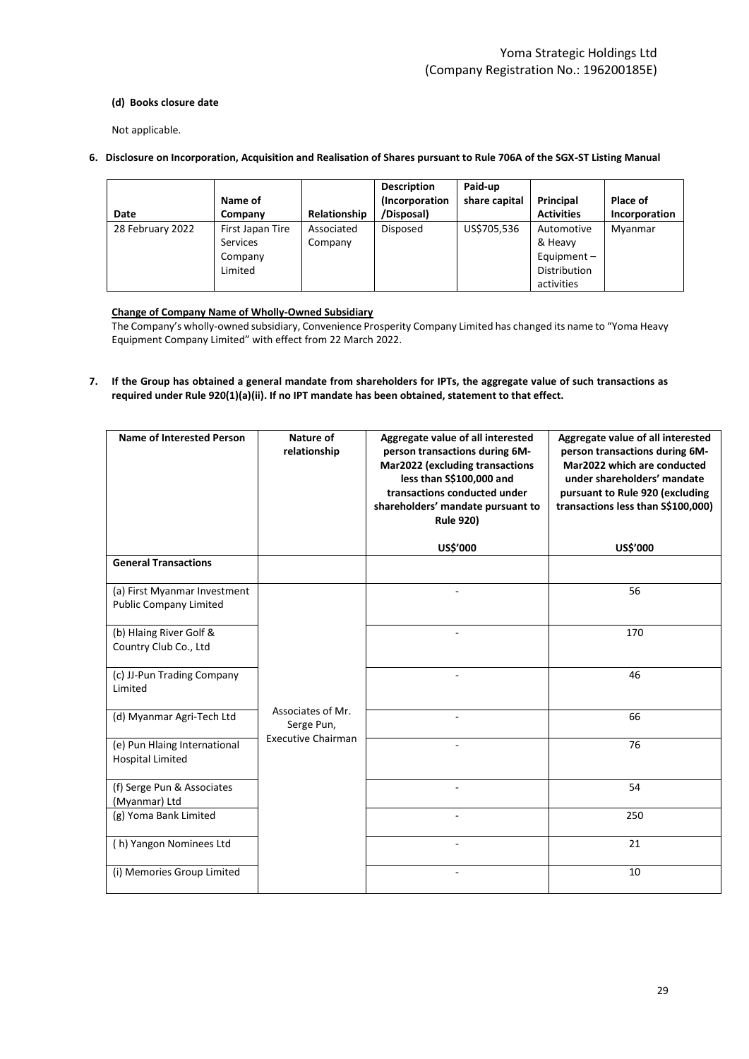### **(d) Books closure date**

Not applicable.

**6. Disclosure on Incorporation, Acquisition and Realisation of Shares pursuant to Rule 706A of the SGX-ST Listing Manual**

| Date             | Name of<br>Company                                        | Relationship          | <b>Description</b><br>(Incorporation<br>/Disposal) | Paid-up<br>share capital | Principal<br><b>Activities</b>                                       | Place of<br>Incorporation |
|------------------|-----------------------------------------------------------|-----------------------|----------------------------------------------------|--------------------------|----------------------------------------------------------------------|---------------------------|
| 28 February 2022 | First Japan Tire<br><b>Services</b><br>Company<br>Limited | Associated<br>Company | Disposed                                           | US\$705,536              | Automotive<br>& Heavy<br>Equipment $-$<br>Distribution<br>activities | Myanmar                   |

### **Change of Company Name of Wholly-Owned Subsidiary**

The Company's wholly-owned subsidiary, Convenience Prosperity Company Limited has changed its name to "Yoma Heavy Equipment Company Limited" with effect from 22 March 2022.

**7. If the Group has obtained a general mandate from shareholders for IPTs, the aggregate value of such transactions as required under Rule 920(1)(a)(ii). If no IPT mandate has been obtained, statement to that effect.**

| <b>Name of Interested Person</b>                              | Nature of<br>relationship       | Aggregate value of all interested<br>person transactions during 6M-<br><b>Mar2022 (excluding transactions</b><br>less than S\$100,000 and<br>transactions conducted under<br>shareholders' mandate pursuant to<br><b>Rule 920)</b> | Aggregate value of all interested<br>person transactions during 6M-<br>Mar2022 which are conducted<br>under shareholders' mandate<br>pursuant to Rule 920 (excluding<br>transactions less than S\$100,000) |
|---------------------------------------------------------------|---------------------------------|------------------------------------------------------------------------------------------------------------------------------------------------------------------------------------------------------------------------------------|------------------------------------------------------------------------------------------------------------------------------------------------------------------------------------------------------------|
|                                                               |                                 | <b>US\$'000</b>                                                                                                                                                                                                                    | <b>US\$'000</b>                                                                                                                                                                                            |
| <b>General Transactions</b>                                   |                                 |                                                                                                                                                                                                                                    |                                                                                                                                                                                                            |
| (a) First Myanmar Investment<br><b>Public Company Limited</b> |                                 |                                                                                                                                                                                                                                    | 56                                                                                                                                                                                                         |
| (b) Hlaing River Golf &<br>Country Club Co., Ltd              |                                 |                                                                                                                                                                                                                                    | 170                                                                                                                                                                                                        |
| (c) JJ-Pun Trading Company<br>Limited                         |                                 |                                                                                                                                                                                                                                    | 46                                                                                                                                                                                                         |
| (d) Myanmar Agri-Tech Ltd                                     | Associates of Mr.<br>Serge Pun, | ä,                                                                                                                                                                                                                                 | 66                                                                                                                                                                                                         |
| (e) Pun Hlaing International<br><b>Hospital Limited</b>       | <b>Executive Chairman</b>       |                                                                                                                                                                                                                                    | 76                                                                                                                                                                                                         |
| (f) Serge Pun & Associates<br>(Myanmar) Ltd                   |                                 |                                                                                                                                                                                                                                    | 54                                                                                                                                                                                                         |
| (g) Yoma Bank Limited                                         |                                 |                                                                                                                                                                                                                                    | 250                                                                                                                                                                                                        |
| (h) Yangon Nominees Ltd                                       |                                 |                                                                                                                                                                                                                                    | 21                                                                                                                                                                                                         |
| (i) Memories Group Limited                                    |                                 |                                                                                                                                                                                                                                    | 10                                                                                                                                                                                                         |